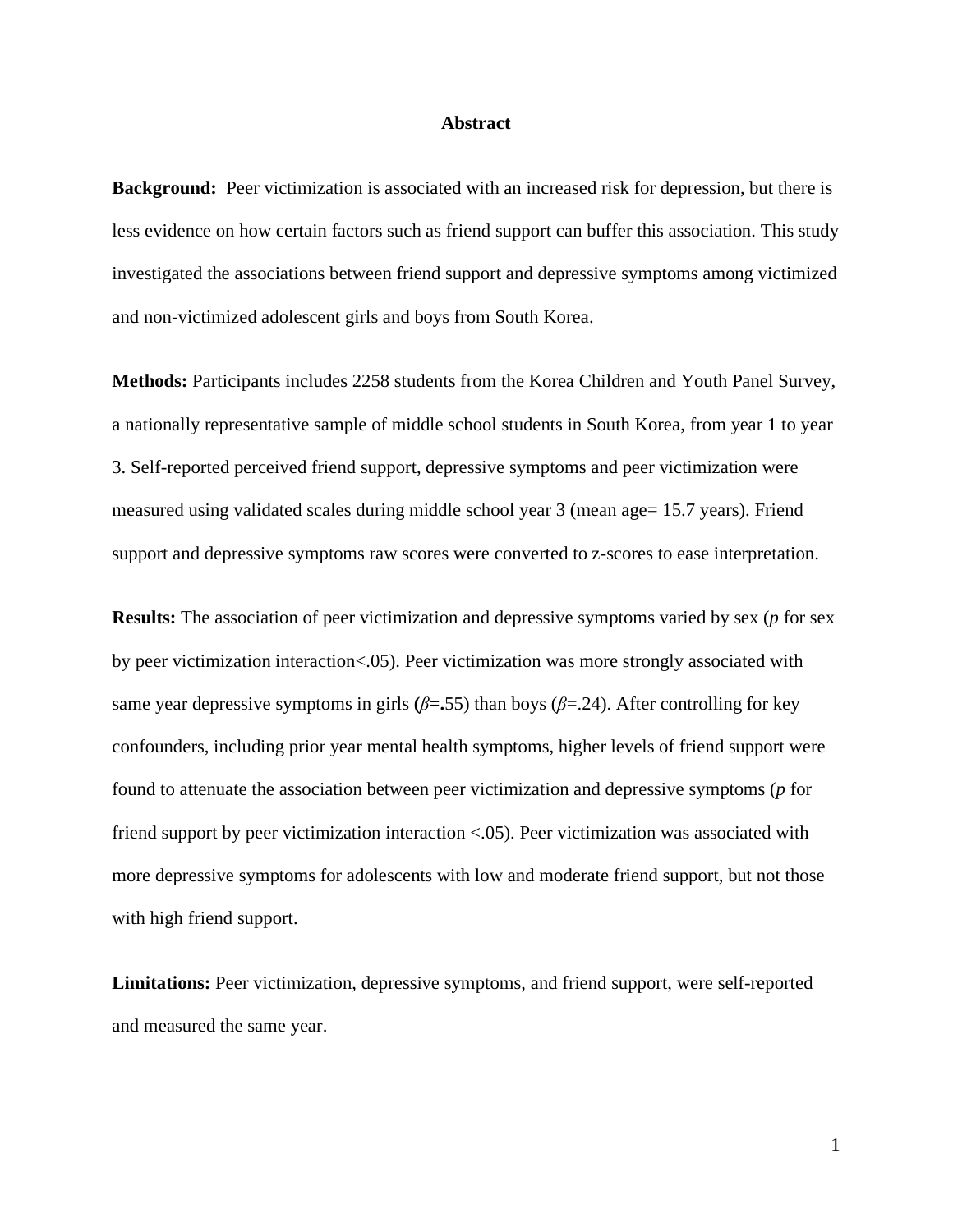#### **Abstract**

**Background:** Peer victimization is associated with an increased risk for depression, but there is less evidence on how certain factors such as friend support can buffer this association. This study investigated the associations between friend support and depressive symptoms among victimized and non-victimized adolescent girls and boys from South Korea.

**Methods:** Participants includes 2258 students from the Korea Children and Youth Panel Survey, a nationally representative sample of middle school students in South Korea, from year 1 to year 3. Self-reported perceived friend support, depressive symptoms and peer victimization were measured using validated scales during middle school year 3 (mean age= 15.7 years). Friend support and depressive symptoms raw scores were converted to z-scores to ease interpretation.

**Results:** The association of peer victimization and depressive symptoms varied by sex (*p* for sex by peer victimization interaction<.05). Peer victimization was more strongly associated with same year depressive symptoms in girls  $(\beta = .55)$  than boys ( $\beta = .24$ ). After controlling for key confounders, including prior year mental health symptoms, higher levels of friend support were found to attenuate the association between peer victimization and depressive symptoms (*p* for friend support by peer victimization interaction <.05). Peer victimization was associated with more depressive symptoms for adolescents with low and moderate friend support, but not those with high friend support.

**Limitations:** Peer victimization, depressive symptoms, and friend support, were self-reported and measured the same year.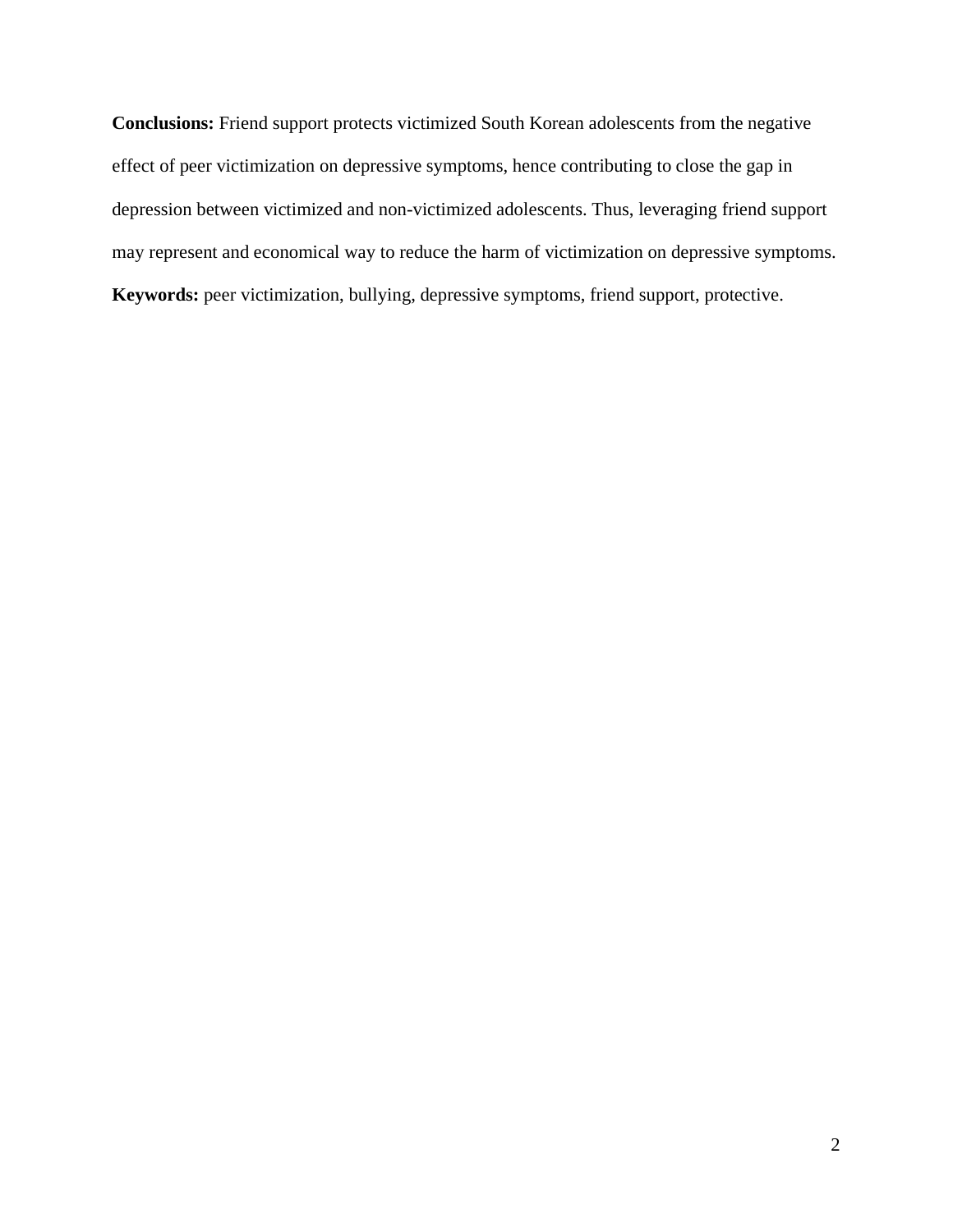**Conclusions:** Friend support protects victimized South Korean adolescents from the negative effect of peer victimization on depressive symptoms, hence contributing to close the gap in depression between victimized and non-victimized adolescents. Thus, leveraging friend support may represent and economical way to reduce the harm of victimization on depressive symptoms. **Keywords:** peer victimization, bullying, depressive symptoms, friend support, protective.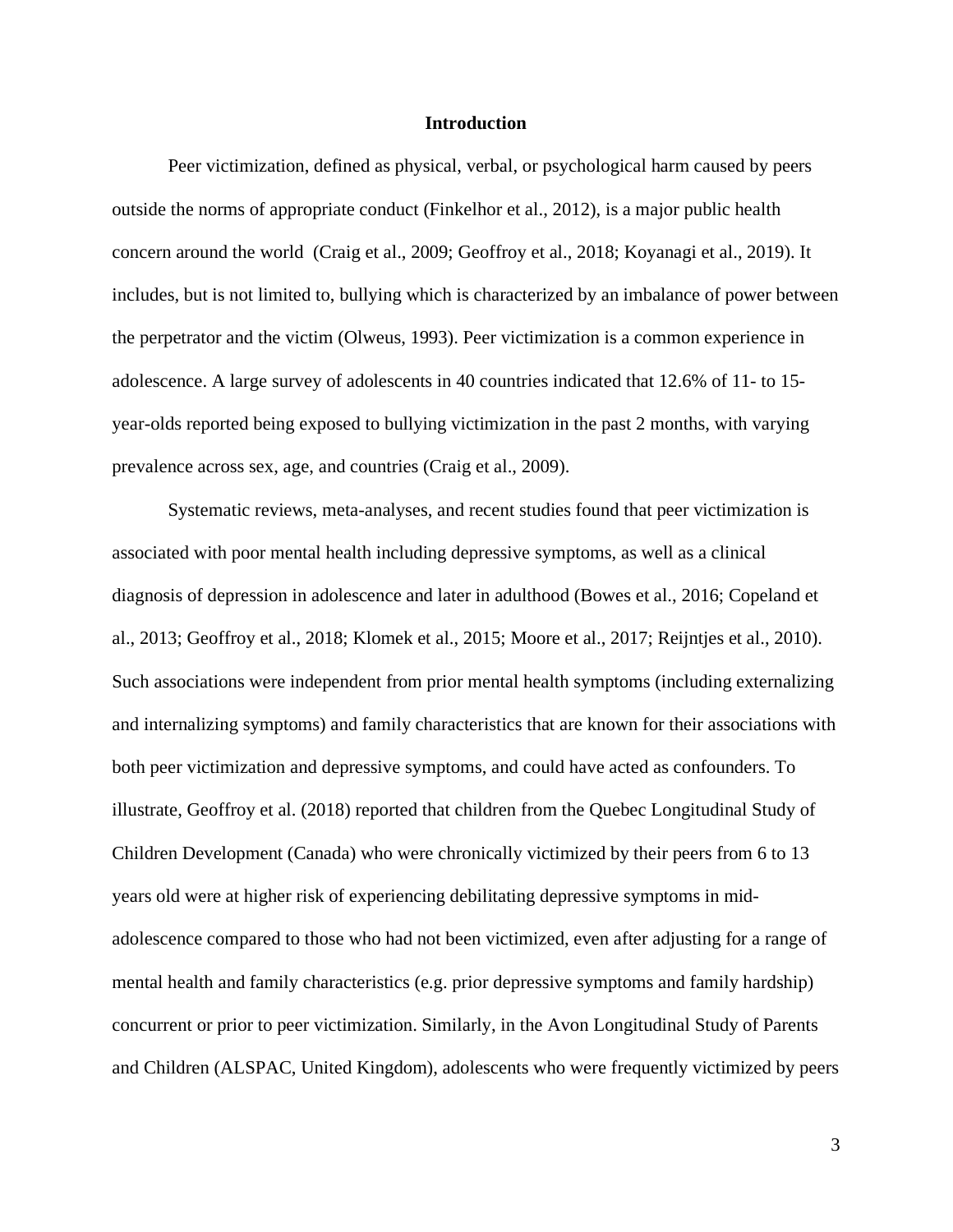#### **Introduction**

Peer victimization, defined as physical, verbal, or psychological harm caused by peers outside the norms of appropriate conduct (Finkelhor et al., 2012), is a major public health concern around the world (Craig et al., 2009; Geoffroy et al., 2018; Koyanagi et al., 2019). It includes, but is not limited to, bullying which is characterized by an imbalance of power between the perpetrator and the victim (Olweus, 1993). Peer victimization is a common experience in adolescence. A large survey of adolescents in 40 countries indicated that 12.6% of 11- to 15 year-olds reported being exposed to bullying victimization in the past 2 months, with varying prevalence across sex, age, and countries (Craig et al., 2009).

Systematic reviews, meta-analyses, and recent studies found that peer victimization is associated with poor mental health including depressive symptoms, as well as a clinical diagnosis of depression in adolescence and later in adulthood (Bowes et al., 2016; Copeland et al., 2013; Geoffroy et al., 2018; Klomek et al., 2015; Moore et al., 2017; Reijntjes et al., 2010). Such associations were independent from prior mental health symptoms (including externalizing and internalizing symptoms) and family characteristics that are known for their associations with both peer victimization and depressive symptoms, and could have acted as confounders. To illustrate, Geoffroy et al. (2018) reported that children from the Quebec Longitudinal Study of Children Development (Canada) who were chronically victimized by their peers from 6 to 13 years old were at higher risk of experiencing debilitating depressive symptoms in midadolescence compared to those who had not been victimized, even after adjusting for a range of mental health and family characteristics (e.g. prior depressive symptoms and family hardship) concurrent or prior to peer victimization. Similarly, in the Avon Longitudinal Study of Parents and Children (ALSPAC, United Kingdom), adolescents who were frequently victimized by peers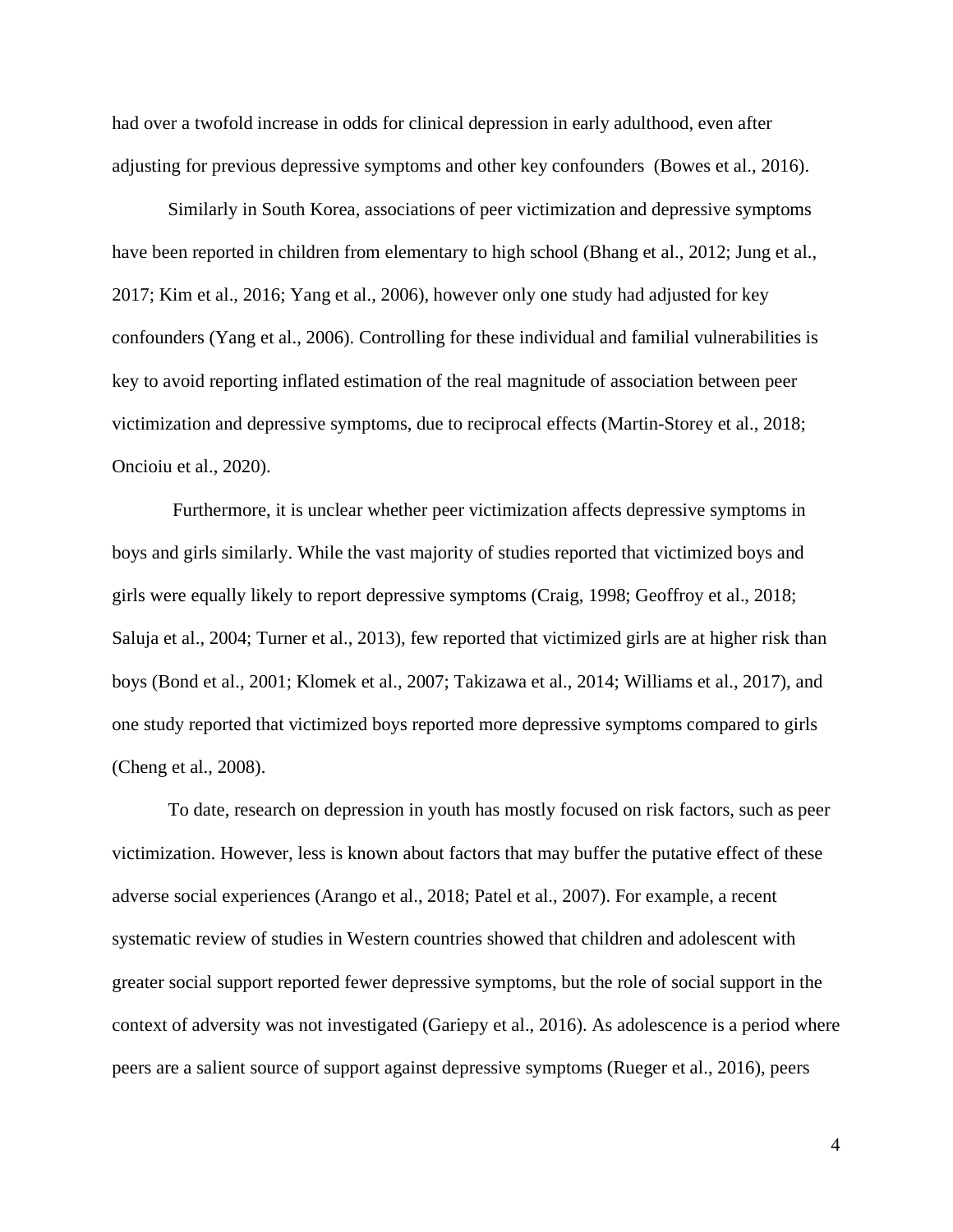had over a twofold increase in odds for clinical depression in early adulthood, even after adjusting for previous depressive symptoms and other key confounders (Bowes et al., 2016).

Similarly in South Korea, associations of peer victimization and depressive symptoms have been reported in children from elementary to high school (Bhang et al., 2012; Jung et al., 2017; Kim et al., 2016; Yang et al., 2006), however only one study had adjusted for key confounders (Yang et al., 2006). Controlling for these individual and familial vulnerabilities is key to avoid reporting inflated estimation of the real magnitude of association between peer victimization and depressive symptoms, due to reciprocal effects (Martin-Storey et al., 2018; Oncioiu et al., 2020).

Furthermore, it is unclear whether peer victimization affects depressive symptoms in boys and girls similarly. While the vast majority of studies reported that victimized boys and girls were equally likely to report depressive symptoms (Craig, 1998; Geoffroy et al., 2018; Saluja et al., 2004; Turner et al., 2013), few reported that victimized girls are at higher risk than boys (Bond et al., 2001; Klomek et al., 2007; Takizawa et al., 2014; Williams et al., 2017), and one study reported that victimized boys reported more depressive symptoms compared to girls (Cheng et al., 2008).

To date, research on depression in youth has mostly focused on risk factors, such as peer victimization. However, less is known about factors that may buffer the putative effect of these adverse social experiences (Arango et al., 2018; Patel et al., 2007). For example, a recent systematic review of studies in Western countries showed that children and adolescent with greater social support reported fewer depressive symptoms, but the role of social support in the context of adversity was not investigated (Gariepy et al., 2016). As adolescence is a period where peers are a salient source of support against depressive symptoms (Rueger et al., 2016), peers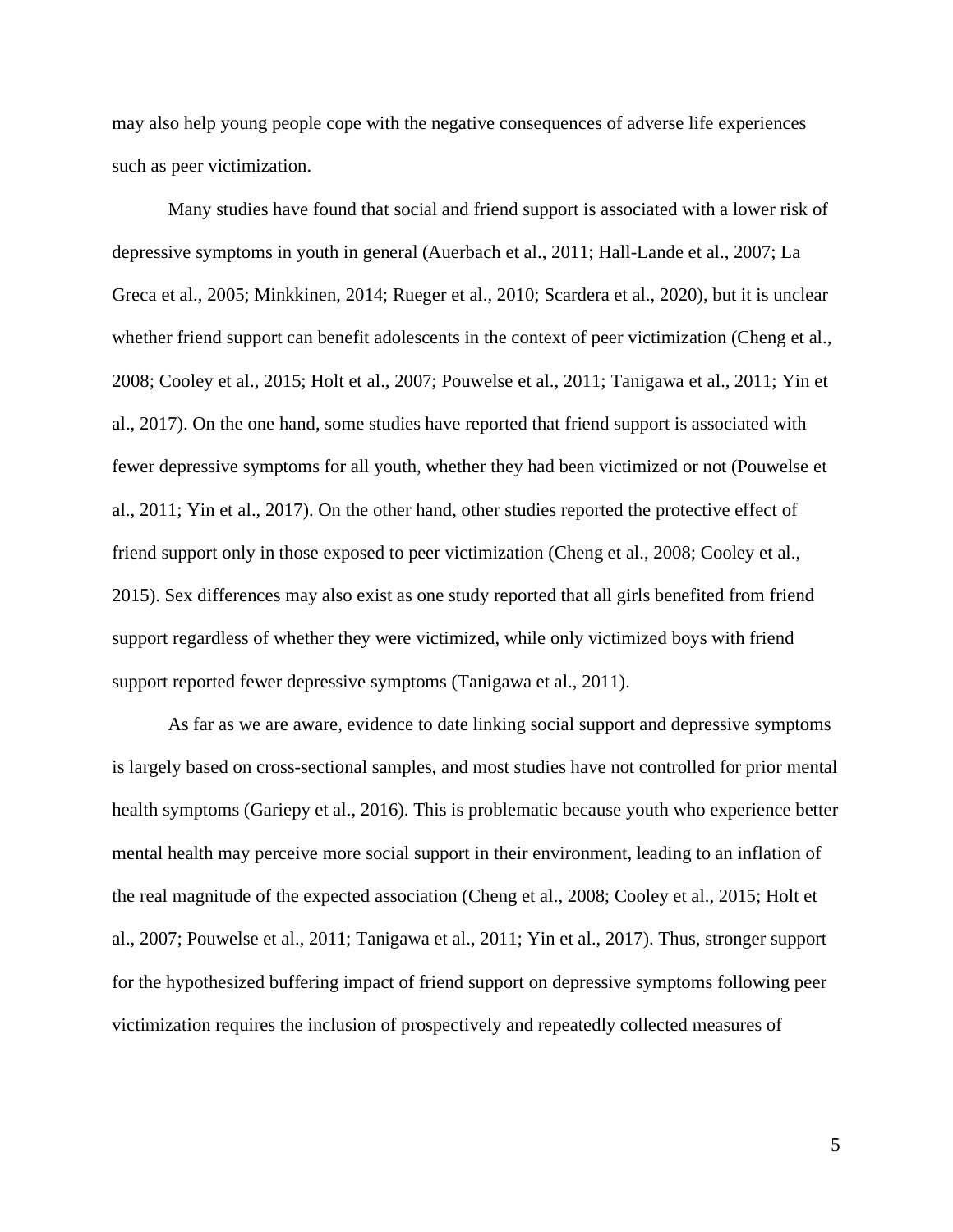may also help young people cope with the negative consequences of adverse life experiences such as peer victimization.

Many studies have found that social and friend support is associated with a lower risk of depressive symptoms in youth in general (Auerbach et al., 2011; Hall-Lande et al., 2007; La Greca et al., 2005; Minkkinen, 2014; Rueger et al., 2010; Scardera et al., 2020), but it is unclear whether friend support can benefit adolescents in the context of peer victimization (Cheng et al., 2008; Cooley et al., 2015; Holt et al., 2007; Pouwelse et al., 2011; Tanigawa et al., 2011; Yin et al., 2017). On the one hand, some studies have reported that friend support is associated with fewer depressive symptoms for all youth, whether they had been victimized or not (Pouwelse et al., 2011; Yin et al., 2017). On the other hand, other studies reported the protective effect of friend support only in those exposed to peer victimization (Cheng et al., 2008; Cooley et al., 2015). Sex differences may also exist as one study reported that all girls benefited from friend support regardless of whether they were victimized, while only victimized boys with friend support reported fewer depressive symptoms (Tanigawa et al., 2011).

As far as we are aware, evidence to date linking social support and depressive symptoms is largely based on cross-sectional samples, and most studies have not controlled for prior mental health symptoms (Gariepy et al., 2016). This is problematic because youth who experience better mental health may perceive more social support in their environment, leading to an inflation of the real magnitude of the expected association (Cheng et al., 2008; Cooley et al., 2015; Holt et al., 2007; Pouwelse et al., 2011; Tanigawa et al., 2011; Yin et al., 2017). Thus, stronger support for the hypothesized buffering impact of friend support on depressive symptoms following peer victimization requires the inclusion of prospectively and repeatedly collected measures of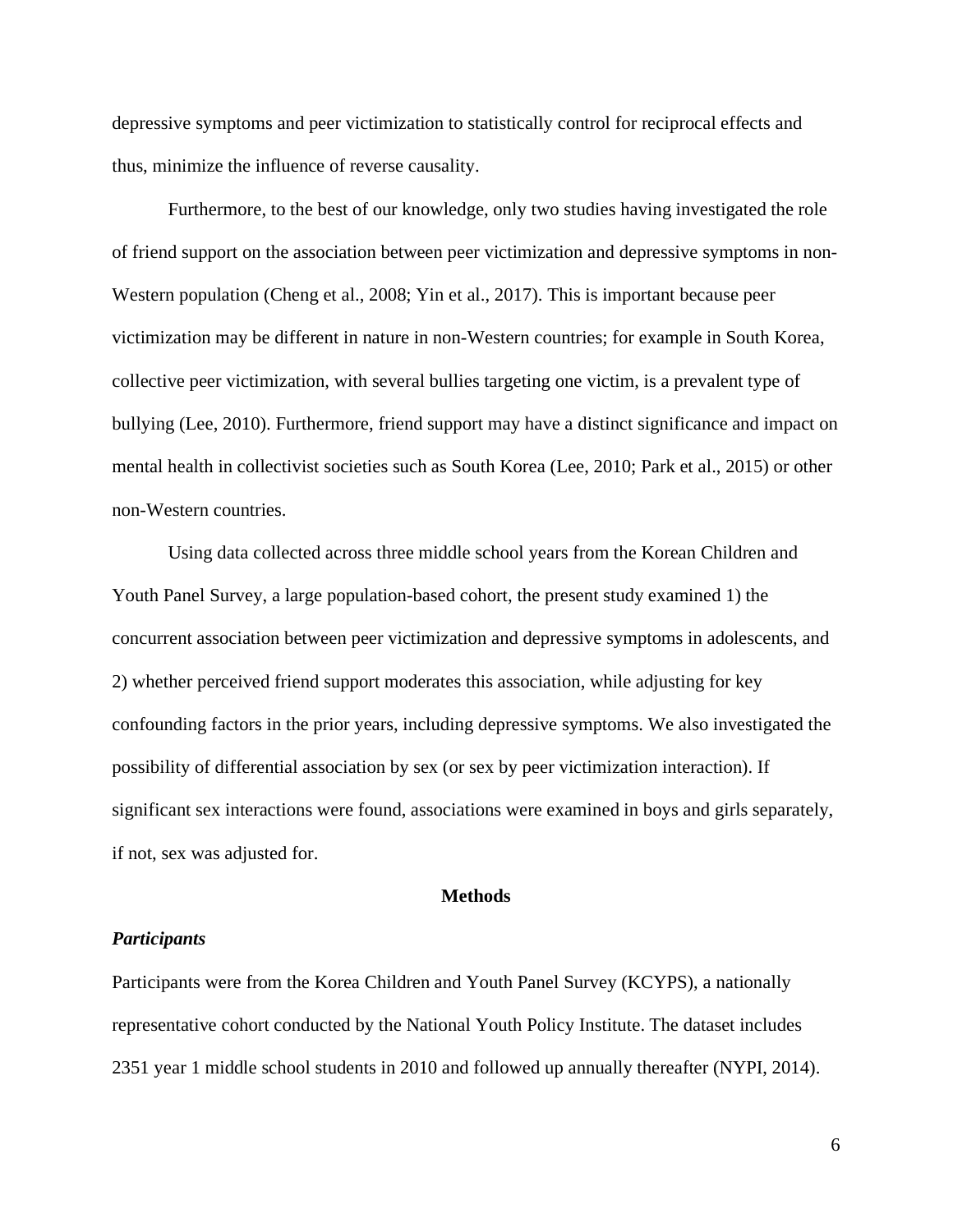depressive symptoms and peer victimization to statistically control for reciprocal effects and thus, minimize the influence of reverse causality.

Furthermore, to the best of our knowledge, only two studies having investigated the role of friend support on the association between peer victimization and depressive symptoms in non-Western population (Cheng et al., 2008; Yin et al., 2017). This is important because peer victimization may be different in nature in non-Western countries; for example in South Korea, collective peer victimization, with several bullies targeting one victim, is a prevalent type of bullying (Lee, 2010). Furthermore, friend support may have a distinct significance and impact on mental health in collectivist societies such as South Korea (Lee, 2010; Park et al., 2015) or other non-Western countries.

Using data collected across three middle school years from the Korean Children and Youth Panel Survey, a large population-based cohort, the present study examined 1) the concurrent association between peer victimization and depressive symptoms in adolescents, and 2) whether perceived friend support moderates this association, while adjusting for key confounding factors in the prior years, including depressive symptoms. We also investigated the possibility of differential association by sex (or sex by peer victimization interaction). If significant sex interactions were found, associations were examined in boys and girls separately, if not, sex was adjusted for.

#### **Methods**

#### *Participants*

Participants were from the Korea Children and Youth Panel Survey (KCYPS), a nationally representative cohort conducted by the National Youth Policy Institute. The dataset includes 2351 year 1 middle school students in 2010 and followed up annually thereafter (NYPI, 2014).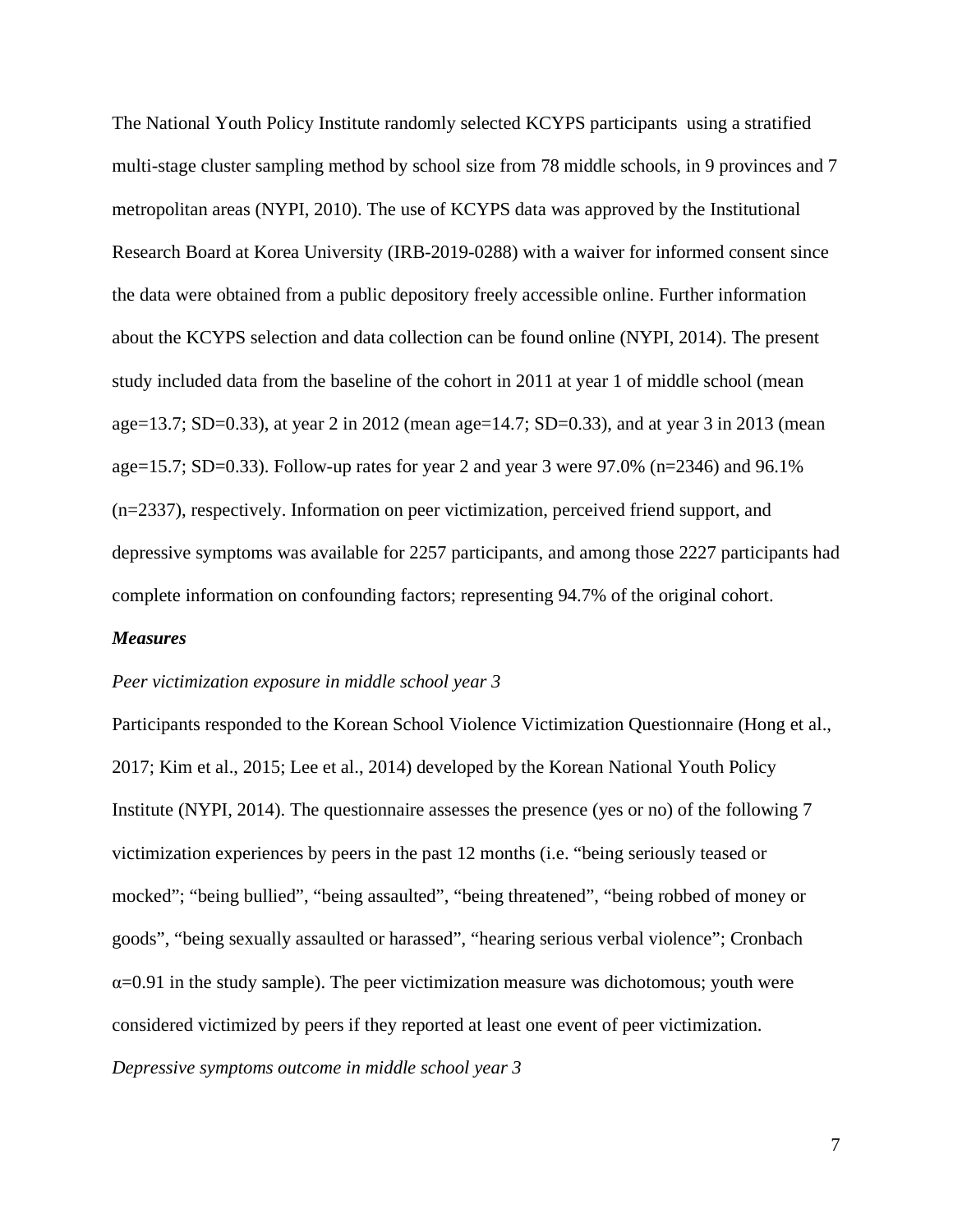The National Youth Policy Institute randomly selected KCYPS participants using a stratified multi-stage cluster sampling method by school size from 78 middle schools, in 9 provinces and 7 metropolitan areas (NYPI, 2010). The use of KCYPS data was approved by the Institutional Research Board at Korea University (IRB-2019-0288) with a waiver for informed consent since the data were obtained from a public depository freely accessible online. Further information about the KCYPS selection and data collection can be found online (NYPI, 2014). The present study included data from the baseline of the cohort in 2011 at year 1 of middle school (mean age=13.7; SD=0.33), at year 2 in 2012 (mean age=14.7; SD=0.33), and at year 3 in 2013 (mean age=15.7; SD=0.33). Follow-up rates for year 2 and year 3 were 97.0% (n=2346) and 96.1% (n=2337), respectively. Information on peer victimization, perceived friend support, and depressive symptoms was available for 2257 participants, and among those 2227 participants had complete information on confounding factors; representing 94.7% of the original cohort.

#### *Measures*

#### *Peer victimization exposure in middle school year 3*

Participants responded to the Korean School Violence Victimization Questionnaire (Hong et al., 2017; Kim et al., 2015; Lee et al., 2014) developed by the Korean National Youth Policy Institute (NYPI, 2014). The questionnaire assesses the presence (yes or no) of the following 7 victimization experiences by peers in the past 12 months (i.e. "being seriously teased or mocked"; "being bullied", "being assaulted", "being threatened", "being robbed of money or goods", "being sexually assaulted or harassed", "hearing serious verbal violence"; Cronbach  $\alpha$ =0.91 in the study sample). The peer victimization measure was dichotomous; youth were considered victimized by peers if they reported at least one event of peer victimization. *Depressive symptoms outcome in middle school year 3*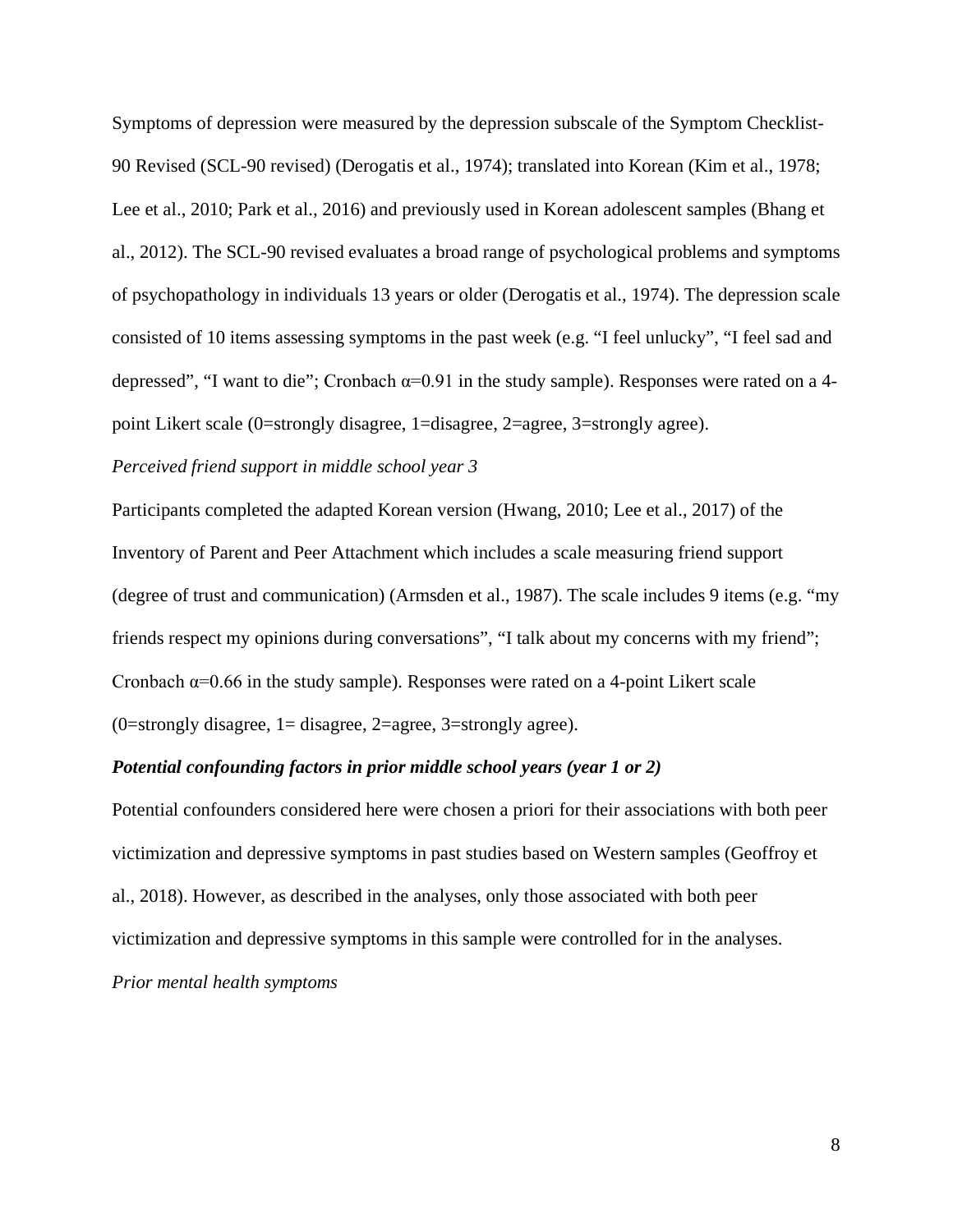Symptoms of depression were measured by the depression subscale of the Symptom Checklist-90 Revised (SCL-90 revised) (Derogatis et al., 1974); translated into Korean (Kim et al., 1978; Lee et al., 2010; Park et al., 2016) and previously used in Korean adolescent samples (Bhang et al., 2012). The SCL-90 revised evaluates a broad range of psychological problems and symptoms of psychopathology in individuals 13 years or older (Derogatis et al., 1974). The depression scale consisted of 10 items assessing symptoms in the past week (e.g. "I feel unlucky", "I feel sad and depressed", "I want to die"; Cronbach  $\alpha=0.91$  in the study sample). Responses were rated on a 4point Likert scale (0=strongly disagree, 1=disagree, 2=agree, 3=strongly agree).

## *Perceived friend support in middle school year 3*

Participants completed the adapted Korean version (Hwang, 2010; Lee et al., 2017) of the Inventory of Parent and Peer Attachment which includes a scale measuring friend support (degree of trust and communication) (Armsden et al., 1987). The scale includes 9 items (e.g. "my friends respect my opinions during conversations", "I talk about my concerns with my friend"; Cronbach  $\alpha$ =0.66 in the study sample). Responses were rated on a 4-point Likert scale  $(0=$ strongly disagree, 1 = disagree, 2 = agree, 3 = strongly agree).

#### *Potential confounding factors in prior middle school years (year 1 or 2)*

Potential confounders considered here were chosen a priori for their associations with both peer victimization and depressive symptoms in past studies based on Western samples (Geoffroy et al., 2018). However, as described in the analyses, only those associated with both peer victimization and depressive symptoms in this sample were controlled for in the analyses.

*Prior mental health symptoms*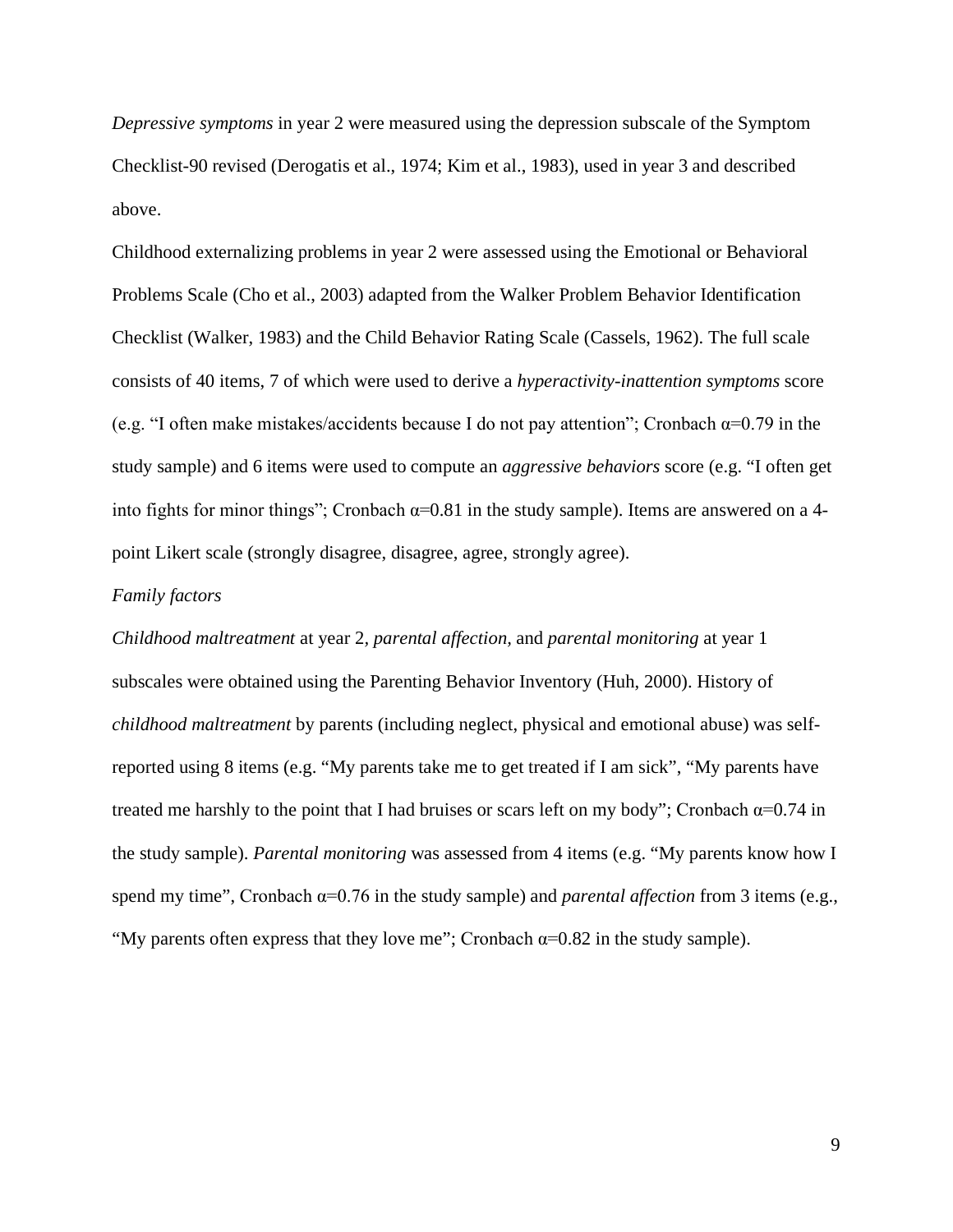*Depressive symptoms* in year 2 were measured using the depression subscale of the Symptom Checklist-90 revised (Derogatis et al., 1974; Kim et al., 1983), used in year 3 and described above.

Childhood externalizing problems in year 2 were assessed using the Emotional or Behavioral Problems Scale (Cho et al., 2003) adapted from the Walker Problem Behavior Identification Checklist (Walker, 1983) and the Child Behavior Rating Scale (Cassels, 1962). The full scale consists of 40 items, 7 of which were used to derive a *hyperactivity-inattention symptoms* score (e.g. "I often make mistakes/accidents because I do not pay attention"; Cronbach  $\alpha$ =0.79 in the study sample) and 6 items were used to compute an *aggressive behaviors* score (e.g. "I often get into fights for minor things"; Cronbach  $\alpha$ =0.81 in the study sample). Items are answered on a 4point Likert scale (strongly disagree, disagree, agree, strongly agree).

#### *Family factors*

*Childhood maltreatment* at year 2*, parental affection,* and *parental monitoring* at year 1 subscales were obtained using the Parenting Behavior Inventory (Huh, 2000). History of *childhood maltreatment* by parents (including neglect, physical and emotional abuse) was selfreported using 8 items (e.g. "My parents take me to get treated if I am sick", "My parents have treated me harshly to the point that I had bruises or scars left on my body"; Cronbach  $\alpha$ =0.74 in the study sample). *Parental monitoring* was assessed from 4 items (e.g. "My parents know how I spend my time", Cronbach α=0.76 in the study sample) and *parental affection* from 3 items (e.g., "My parents often express that they love me"; Cronbach  $\alpha$ =0.82 in the study sample).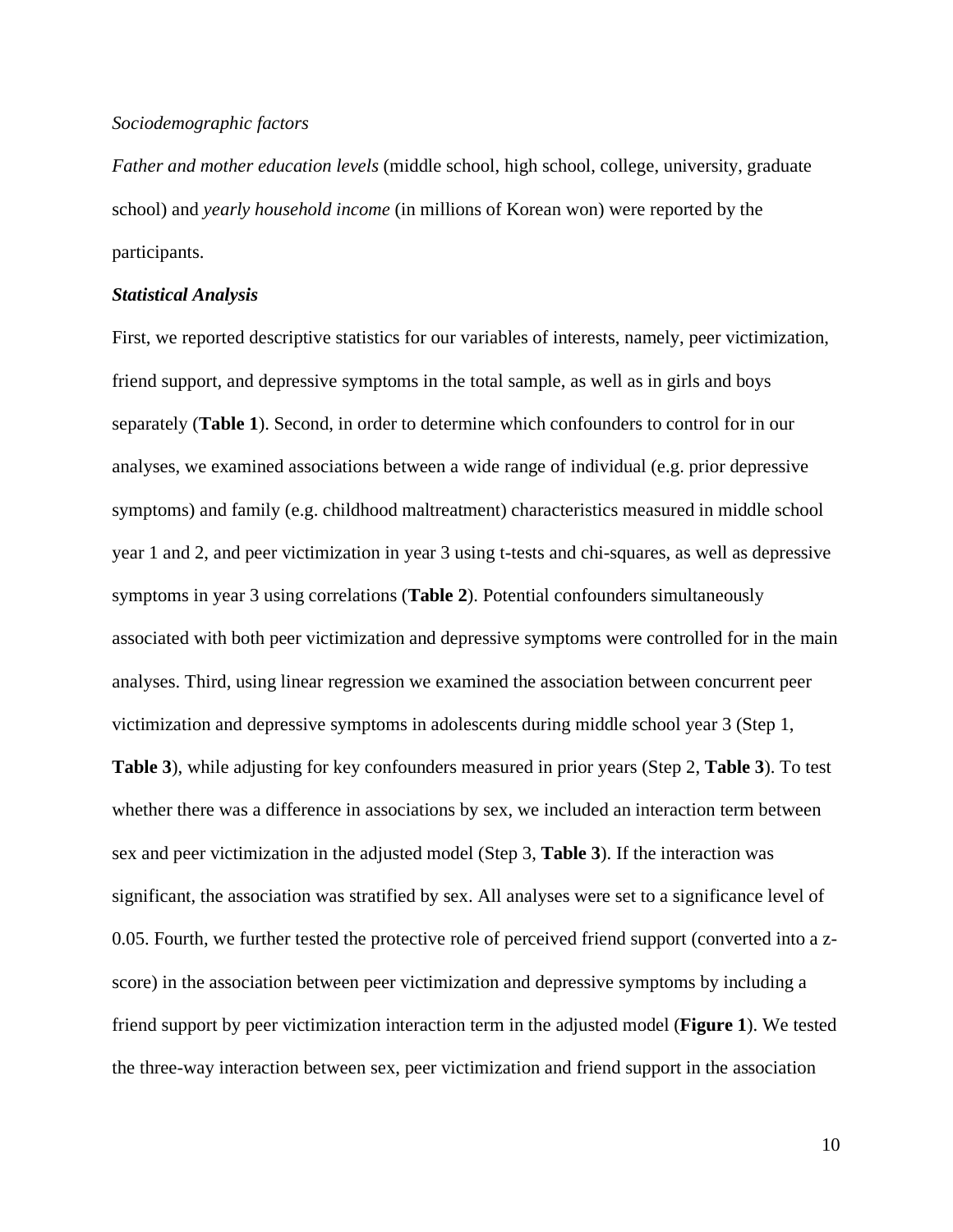#### *Sociodemographic factors*

*Father and mother education levels* (middle school, high school, college, university, graduate school) and *yearly household income* (in millions of Korean won) were reported by the participants.

#### *Statistical Analysis*

First, we reported descriptive statistics for our variables of interests, namely, peer victimization, friend support, and depressive symptoms in the total sample, as well as in girls and boys separately (**Table 1**). Second, in order to determine which confounders to control for in our analyses, we examined associations between a wide range of individual (e.g. prior depressive symptoms) and family (e.g. childhood maltreatment) characteristics measured in middle school year 1 and 2, and peer victimization in year 3 using t-tests and chi-squares, as well as depressive symptoms in year 3 using correlations (**Table 2**). Potential confounders simultaneously associated with both peer victimization and depressive symptoms were controlled for in the main analyses. Third, using linear regression we examined the association between concurrent peer victimization and depressive symptoms in adolescents during middle school year 3 (Step 1,

**Table 3**), while adjusting for key confounders measured in prior years (Step 2, **Table 3**). To test whether there was a difference in associations by sex, we included an interaction term between sex and peer victimization in the adjusted model (Step 3, **Table 3**). If the interaction was significant, the association was stratified by sex. All analyses were set to a significance level of 0.05. Fourth, we further tested the protective role of perceived friend support (converted into a zscore) in the association between peer victimization and depressive symptoms by including a friend support by peer victimization interaction term in the adjusted model (**Figure 1**). We tested the three-way interaction between sex, peer victimization and friend support in the association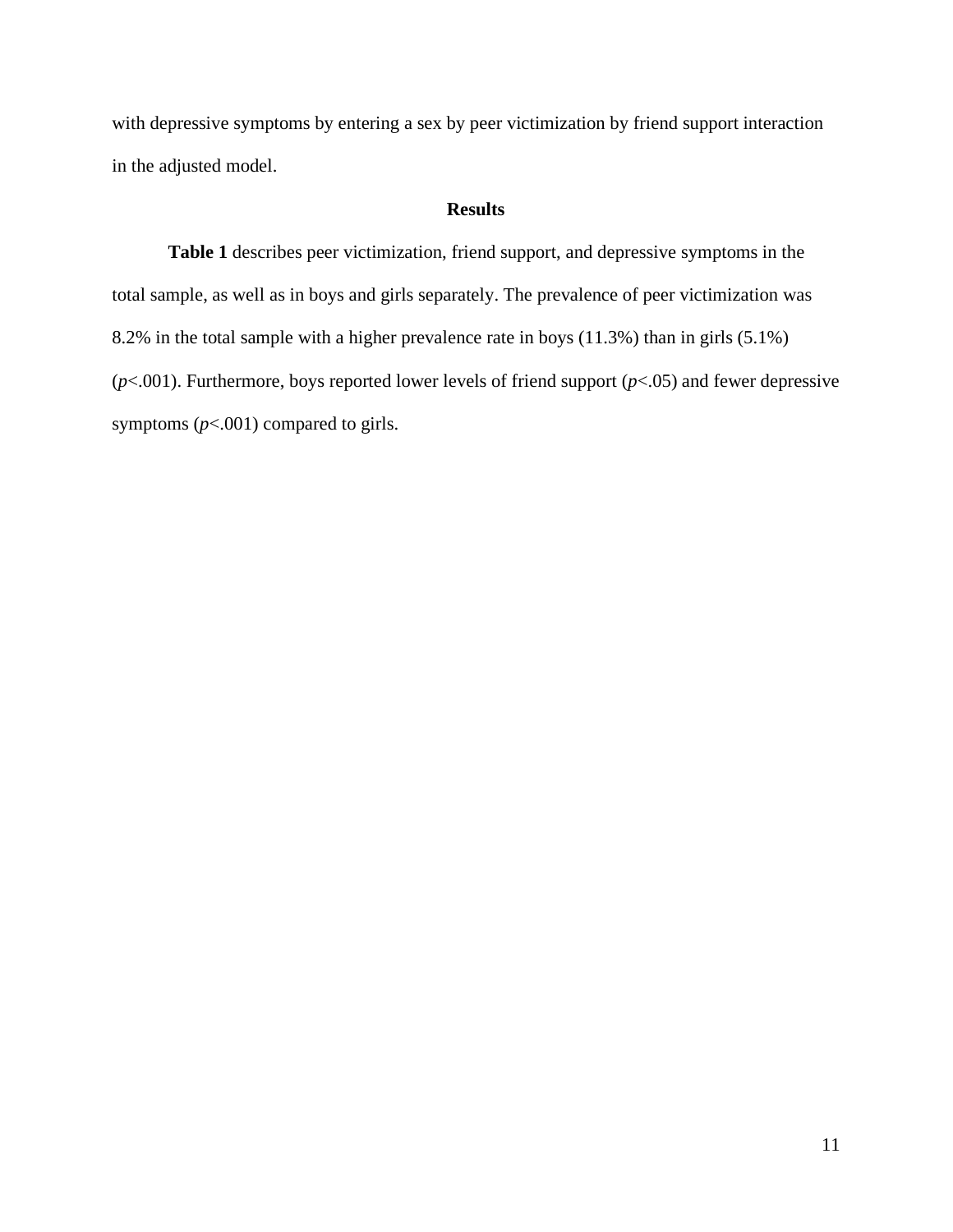with depressive symptoms by entering a sex by peer victimization by friend support interaction in the adjusted model.

# **Results**

**Table 1** describes peer victimization, friend support, and depressive symptoms in the total sample, as well as in boys and girls separately. The prevalence of peer victimization was 8.2% in the total sample with a higher prevalence rate in boys (11.3%) than in girls (5.1%) (*p*<.001). Furthermore, boys reported lower levels of friend support (*p*<.05) and fewer depressive symptoms ( $p$ <.001) compared to girls.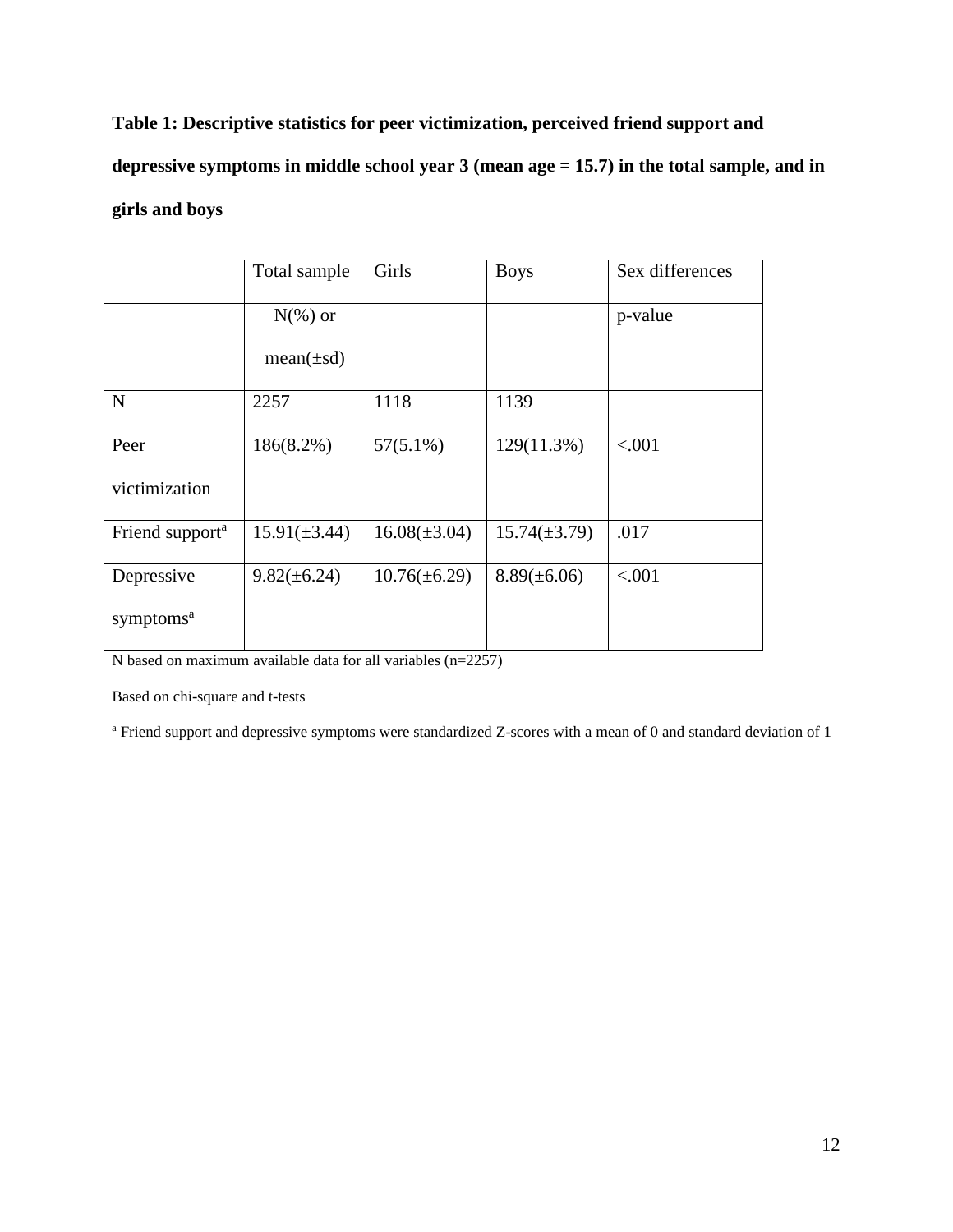**Table 1: Descriptive statistics for peer victimization, perceived friend support and depressive symptoms in middle school year 3 (mean age = 15.7) in the total sample, and in girls and boys**

|                             | Total sample      | Girls             | <b>Boys</b>       | Sex differences |
|-----------------------------|-------------------|-------------------|-------------------|-----------------|
|                             | $N(\%)$ or        |                   |                   | p-value         |
|                             | $mean(\pm sd)$    |                   |                   |                 |
| $\mathbf N$                 | 2257              | 1118              | 1139              |                 |
| Peer                        | 186(8.2%)         | $57(5.1\%)$       | $129(11.3\%)$     | < .001          |
| victimization               |                   |                   |                   |                 |
| Friend support <sup>a</sup> | $15.91(\pm 3.44)$ | $16.08(\pm 3.04)$ | $15.74(\pm 3.79)$ | .017            |
| Depressive                  | $9.82(\pm 6.24)$  | $10.76(\pm 6.29)$ | $8.89(\pm 6.06)$  | < .001          |
| symptoms <sup>a</sup>       |                   |                   |                   |                 |

N based on maximum available data for all variables (n=2257)

Based on chi-square and t-tests

<sup>a</sup> Friend support and depressive symptoms were standardized Z-scores with a mean of 0 and standard deviation of 1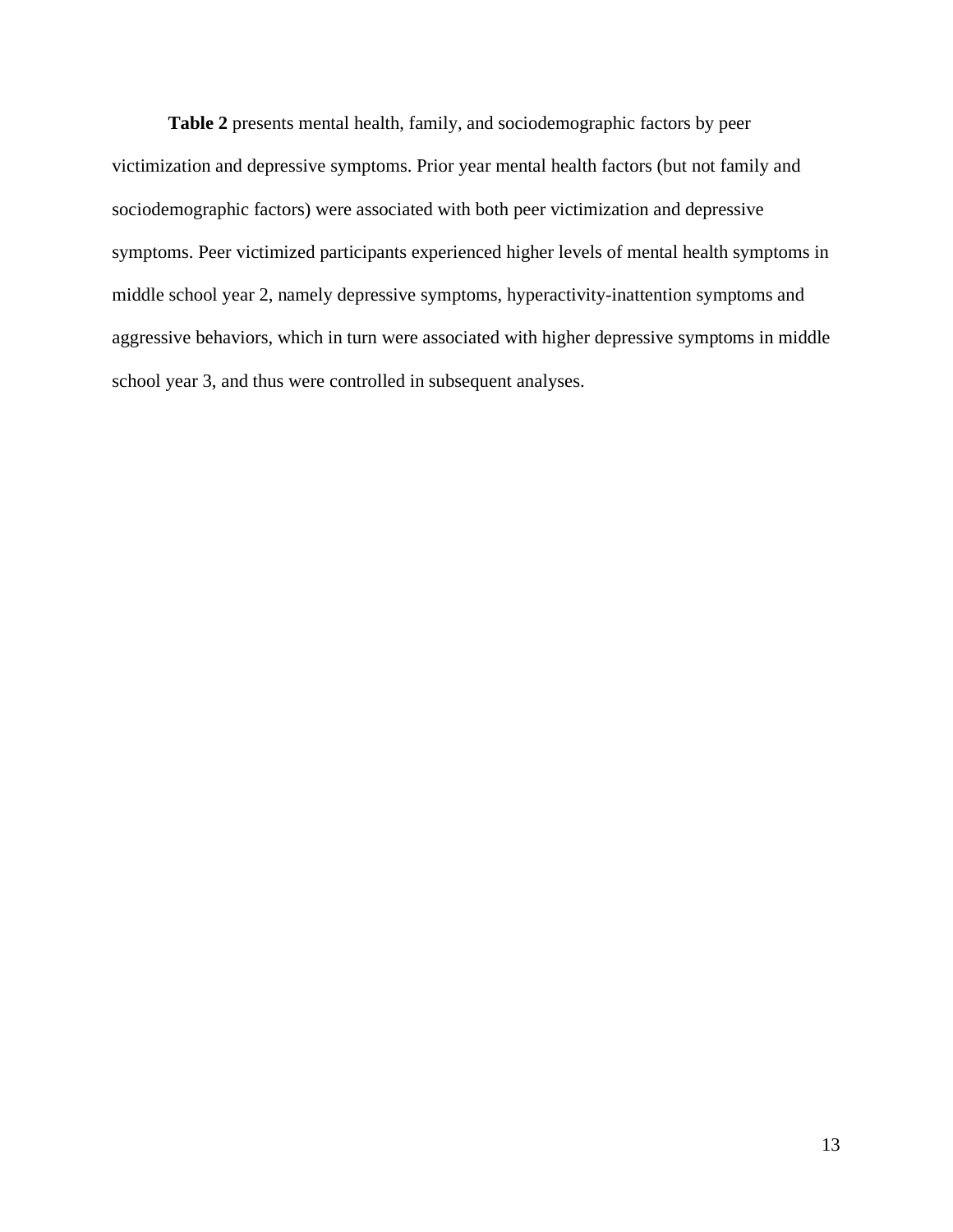**Table 2** presents mental health, family, and sociodemographic factors by peer victimization and depressive symptoms. Prior year mental health factors (but not family and sociodemographic factors) were associated with both peer victimization and depressive symptoms. Peer victimized participants experienced higher levels of mental health symptoms in middle school year 2, namely depressive symptoms, hyperactivity-inattention symptoms and aggressive behaviors, which in turn were associated with higher depressive symptoms in middle school year 3, and thus were controlled in subsequent analyses.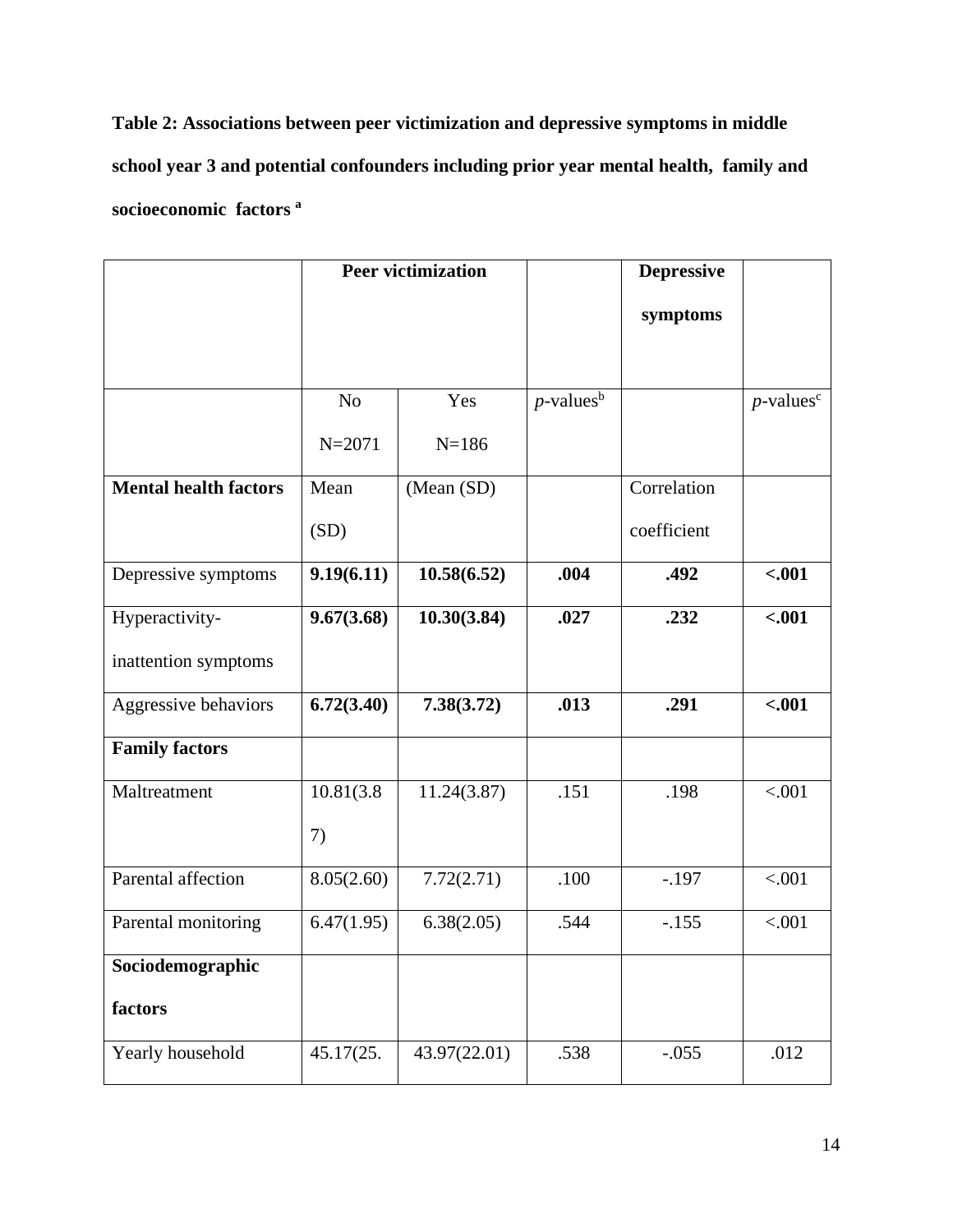**Table 2: Associations between peer victimization and depressive symptoms in middle school year 3 and potential confounders including prior year mental health, family and socioeconomic factors <sup>a</sup>**

|                              |                | <b>Peer victimization</b> | <b>Depressive</b>        |             |                          |  |  |
|------------------------------|----------------|---------------------------|--------------------------|-------------|--------------------------|--|--|
|                              |                |                           |                          | symptoms    |                          |  |  |
|                              |                |                           |                          |             |                          |  |  |
|                              | N <sub>o</sub> | Yes                       | $p$ -values <sup>b</sup> |             | $p$ -values <sup>c</sup> |  |  |
|                              | $N = 2071$     | $N = 186$                 |                          |             |                          |  |  |
| <b>Mental health factors</b> | Mean           | (Mean (SD)                |                          | Correlation |                          |  |  |
|                              | (SD)           |                           |                          | coefficient |                          |  |  |
| Depressive symptoms          | 9.19(6.11)     | 10.58(6.52)               | .004                     | .492        | $-.001$                  |  |  |
| Hyperactivity-               | 9.67(3.68)     | 10.30(3.84)               | .027                     | .232        | $-.001$                  |  |  |
| inattention symptoms         |                |                           |                          |             |                          |  |  |
| Aggressive behaviors         | 6.72(3.40)     | 7.38(3.72)                | .013                     | .291        | $-.001$                  |  |  |
| <b>Family factors</b>        |                |                           |                          |             |                          |  |  |
| Maltreatment                 | 10.81(3.8)     | 11.24(3.87)               | .151                     | .198        | < .001                   |  |  |
|                              | 7)             |                           |                          |             |                          |  |  |
| Parental affection           | 8.05(2.60)     | 7.72(2.71)                | .100                     | $-.197$     | < .001                   |  |  |
| Parental monitoring          | 6.47(1.95)     | 6.38(2.05)                | .544                     | $-.155$     | < .001                   |  |  |
| Sociodemographic             |                |                           |                          |             |                          |  |  |
| factors                      |                |                           |                          |             |                          |  |  |
| Yearly household             | 45.17(25.      | 43.97(22.01)              | .538                     | $-.055$     | .012                     |  |  |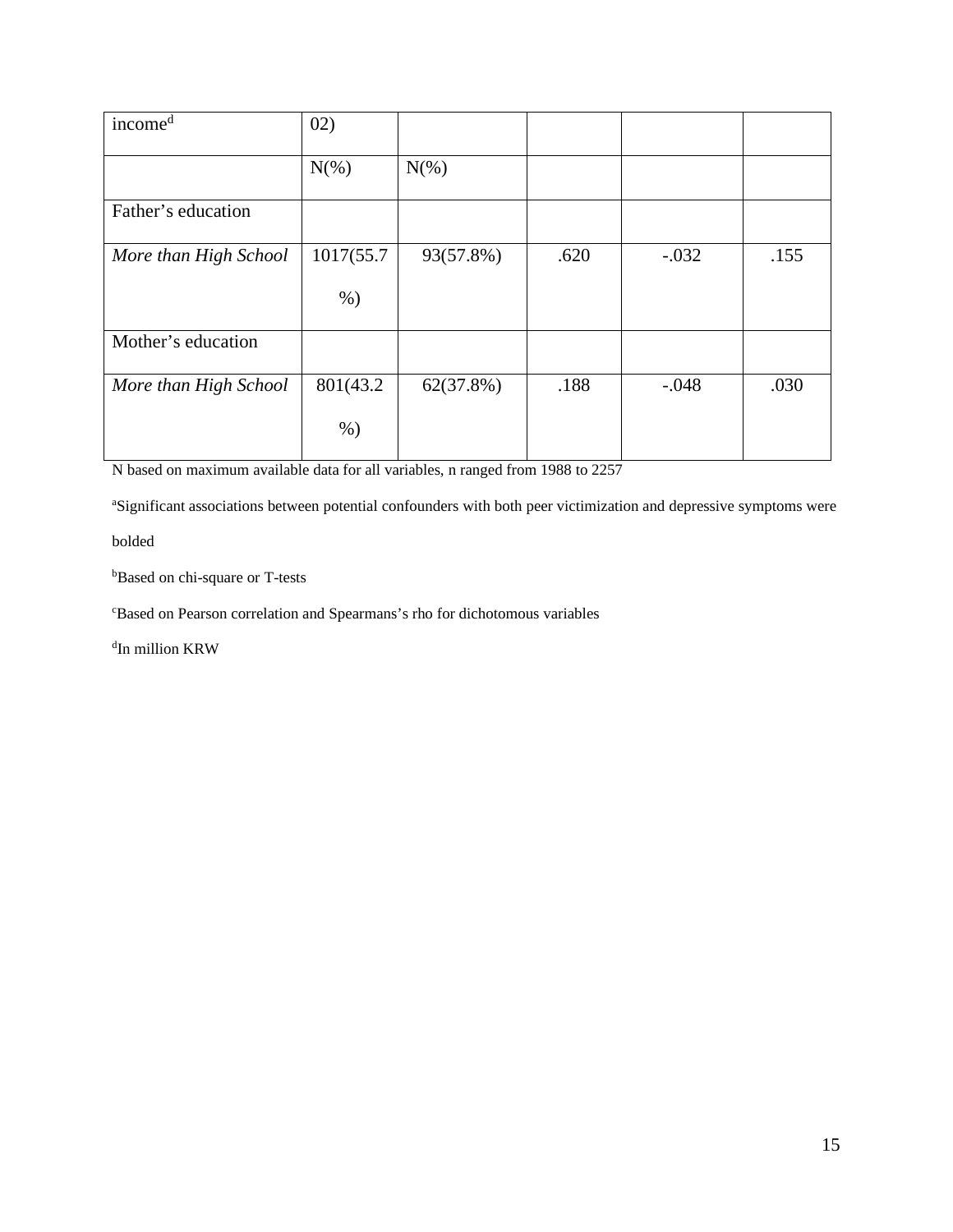| income <sup>d</sup>   | 02)        |           |      |         |      |
|-----------------------|------------|-----------|------|---------|------|
|                       | $N(\%)$    | $N(\%)$   |      |         |      |
| Father's education    |            |           |      |         |      |
| More than High School | 1017(55.7) | 93(57.8%) | .620 | $-.032$ | .155 |
|                       | $%$ )      |           |      |         |      |
| Mother's education    |            |           |      |         |      |
| More than High School | 801(43.2)  | 62(37.8%) | .188 | $-.048$ | .030 |
|                       | $%$ )      |           |      |         |      |

N based on maximum available data for all variables, n ranged from 1988 to 2257

<sup>a</sup>Significant associations between potential confounders with both peer victimization and depressive symptoms were

bolded

b Based on chi-square or T-tests

c Based on Pearson correlation and Spearmans's rho for dichotomous variables

d In million KRW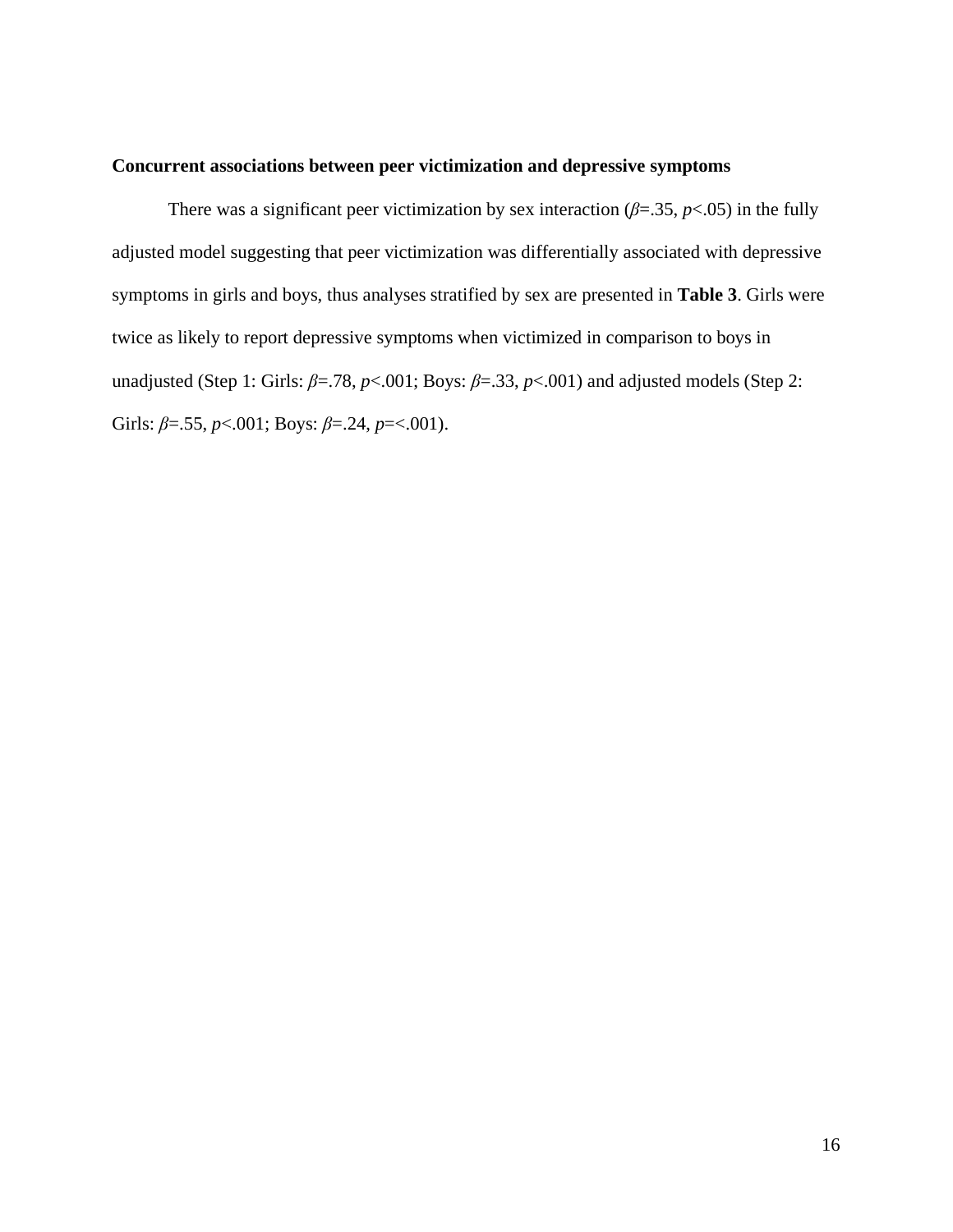# **Concurrent associations between peer victimization and depressive symptoms**

There was a significant peer victimization by sex interaction  $(\beta = .35, p < .05)$  in the fully adjusted model suggesting that peer victimization was differentially associated with depressive symptoms in girls and boys, thus analyses stratified by sex are presented in **Table 3**. Girls were twice as likely to report depressive symptoms when victimized in comparison to boys in unadjusted (Step 1: Girls:  $\beta$ =.78,  $p$ <.001; Boys:  $\beta$ =.33,  $p$ <.001) and adjusted models (Step 2: Girls: *β*=.55, *p*<.001; Boys: *β*=.24, *p*=<.001).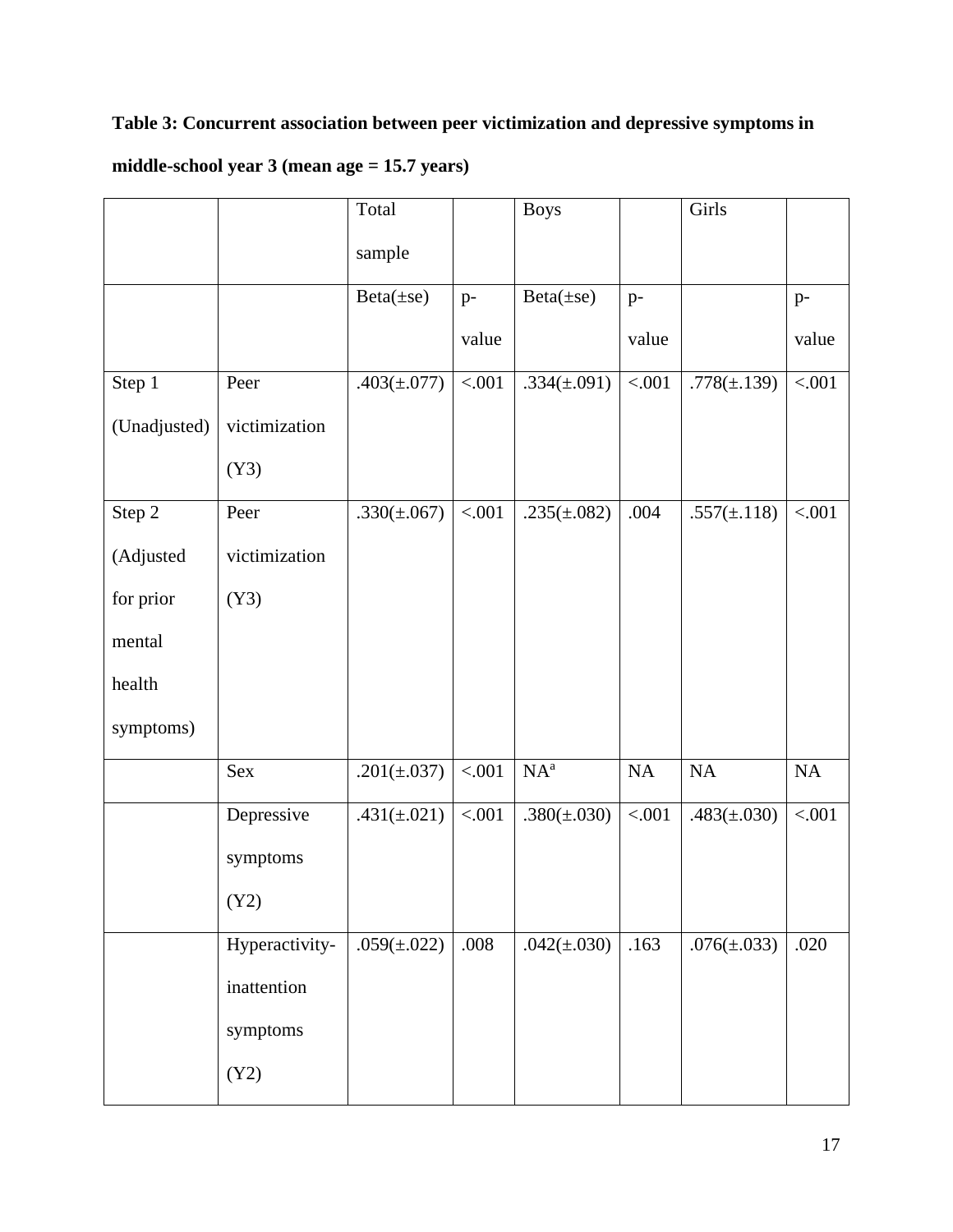# **Table 3: Concurrent association between peer victimization and depressive symptoms in**

# **middle-school year 3 (mean age = 15.7 years)**

|              |                | Total            |        | <b>Boys</b>       |          | Girls             |          |
|--------------|----------------|------------------|--------|-------------------|----------|-------------------|----------|
|              |                | sample           |        |                   |          |                   |          |
|              |                | $Beta(\pm se)$   | $p-$   | $Beta(\pm se)$    | $p-$     |                   | $p-$     |
|              |                |                  | value  |                   | value    |                   | value    |
| Step 1       | Peer           | $.403(\pm .077)$ | < .001 | .334( $\pm$ .091) | < .001   | .778( $\pm$ .139) | $< 0.01$ |
| (Unadjusted) | victimization  |                  |        |                   |          |                   |          |
|              | (Y3)           |                  |        |                   |          |                   |          |
| Step 2       | Peer           | $.330(\pm .067)$ | < .001 | $.235(\pm .082)$  | .004     | $.557(\pm.118)$   | < .001   |
| (Adjusted    | victimization  |                  |        |                   |          |                   |          |
| for prior    | (Y3)           |                  |        |                   |          |                   |          |
| mental       |                |                  |        |                   |          |                   |          |
| health       |                |                  |        |                   |          |                   |          |
| symptoms)    |                |                  |        |                   |          |                   |          |
|              | Sex            | $.201(\pm .037)$ | < .001 | NA <sup>a</sup>   | $\rm NA$ | $\rm NA$          | $\rm NA$ |
|              | Depressive     | $.431(\pm.021)$  | < .001 | $.380(\pm .030)$  | < .001   | $.483(\pm .030)$  | < .001   |
|              | symptoms       |                  |        |                   |          |                   |          |
|              | (Y2)           |                  |        |                   |          |                   |          |
|              | Hyperactivity- | $.059(\pm.022)$  | .008   | $.042(\pm.030)$   | .163     | .076( $\pm$ .033) | .020     |
|              | inattention    |                  |        |                   |          |                   |          |
|              | symptoms       |                  |        |                   |          |                   |          |
|              | (Y2)           |                  |        |                   |          |                   |          |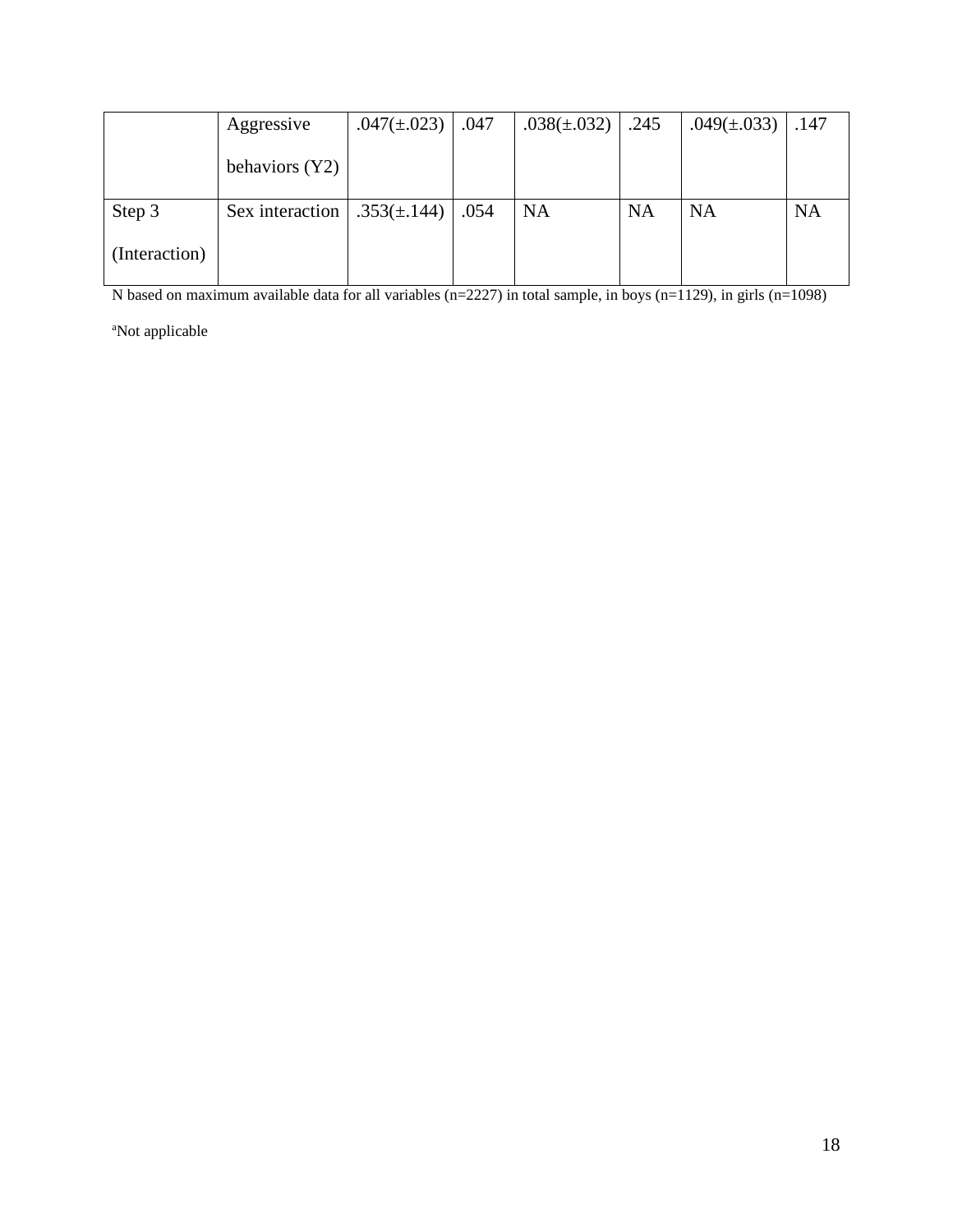|               | Aggressive      | .047( $\pm$ .023) | .047 | $.038(\pm .032)$ | .245      | $.049(\pm.033)$ | .147      |
|---------------|-----------------|-------------------|------|------------------|-----------|-----------------|-----------|
|               | behaviors (Y2)  |                   |      |                  |           |                 |           |
| Step 3        | Sex interaction | $.353(\pm.144)$   | .054 | <b>NA</b>        | <b>NA</b> | <b>NA</b>       | <b>NA</b> |
| (Interaction) |                 |                   |      |                  |           |                 |           |

N based on maximum available data for all variables  $(n=2227)$  in total sample, in boys  $(n=1129)$ , in girls  $(n=1098)$ 

<sup>a</sup>Not applicable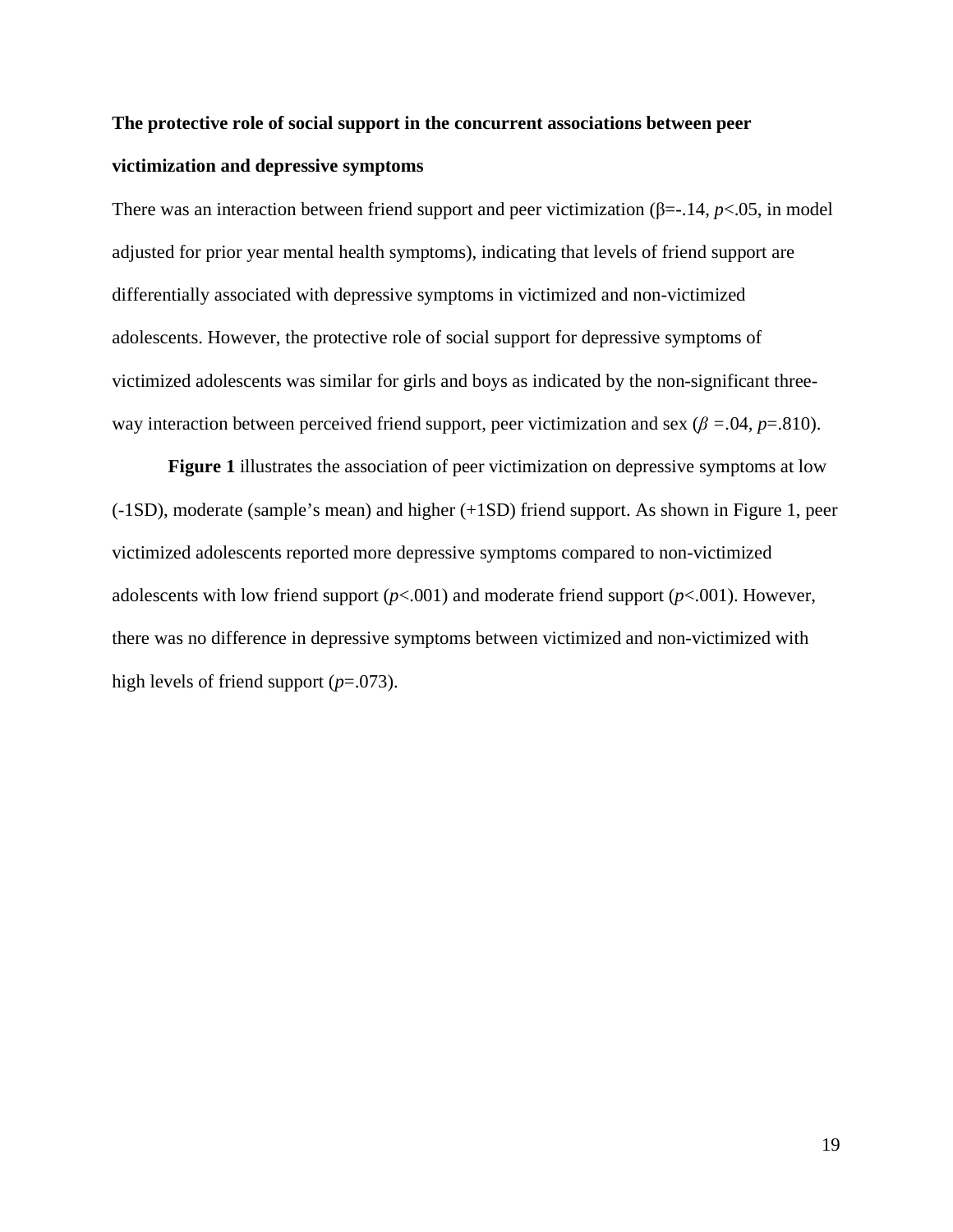# **The protective role of social support in the concurrent associations between peer victimization and depressive symptoms**

There was an interaction between friend support and peer victimization ( $\beta$ =-.14, *p*<.05, in model adjusted for prior year mental health symptoms), indicating that levels of friend support are differentially associated with depressive symptoms in victimized and non-victimized adolescents. However, the protective role of social support for depressive symptoms of victimized adolescents was similar for girls and boys as indicated by the non-significant threeway interaction between perceived friend support, peer victimization and sex ( $\beta$  =.04*, p*=.810).

**Figure 1** illustrates the association of peer victimization on depressive symptoms at low (-1SD), moderate (sample's mean) and higher (+1SD) friend support. As shown in Figure 1, peer victimized adolescents reported more depressive symptoms compared to non-victimized adolescents with low friend support (*p*<.001) and moderate friend support (*p*<.001). However, there was no difference in depressive symptoms between victimized and non-victimized with high levels of friend support (*p*=.073).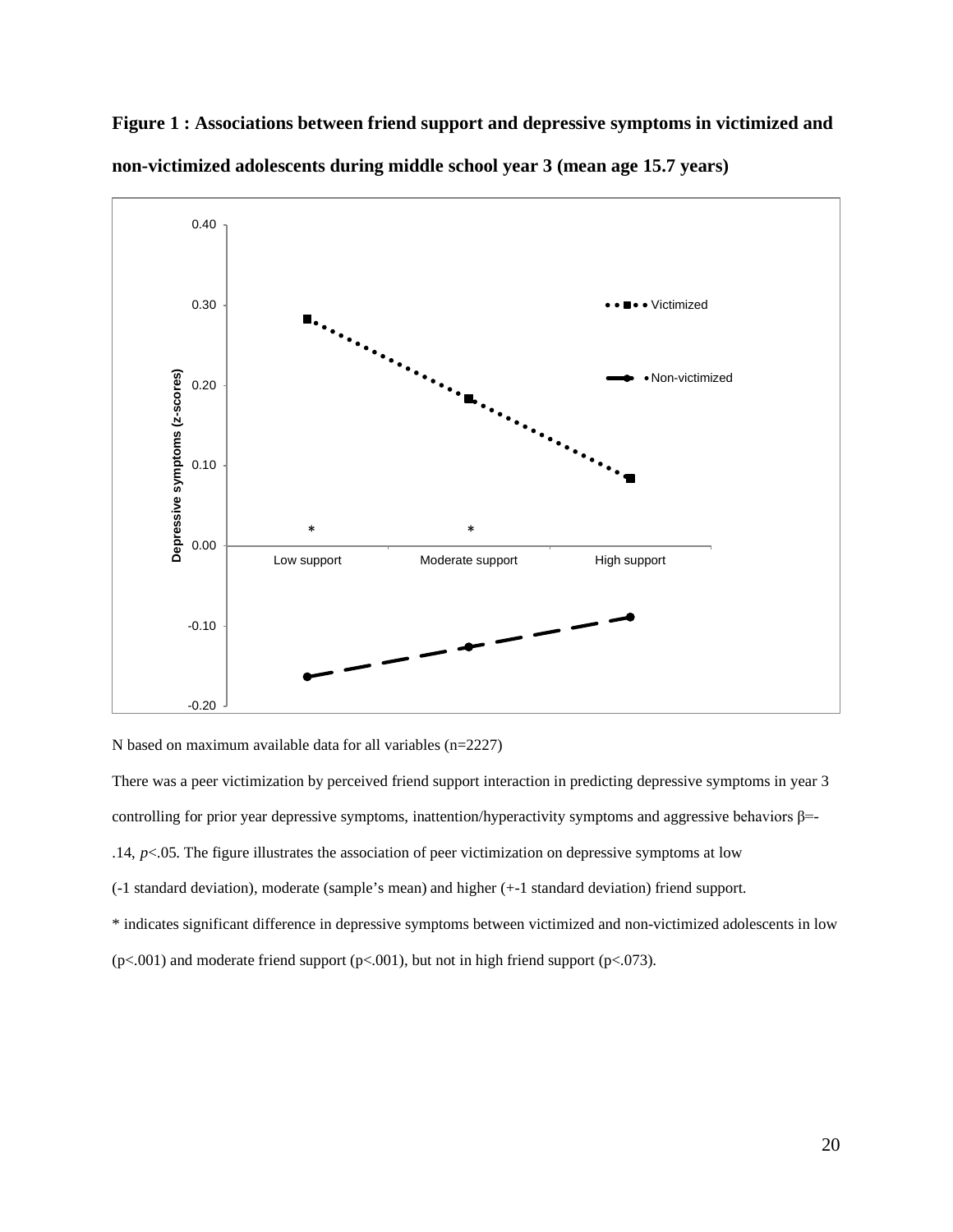

**Figure 1 : Associations between friend support and depressive symptoms in victimized and non-victimized adolescents during middle school year 3 (mean age 15.7 years)**

N based on maximum available data for all variables (n=2227)

There was a peer victimization by perceived friend support interaction in predicting depressive symptoms in year 3 controlling for prior year depressive symptoms, inattention/hyperactivity symptoms and aggressive behaviors  $\beta$ =-.14,  $p$ <.05. The figure illustrates the association of peer victimization on depressive symptoms at low (-1 standard deviation), moderate (sample's mean) and higher (+-1 standard deviation) friend support. \* indicates significant difference in depressive symptoms between victimized and non-victimized adolescents in low ( $p$ <.001) and moderate friend support ( $p$ <.001), but not in high friend support ( $p$ <.073).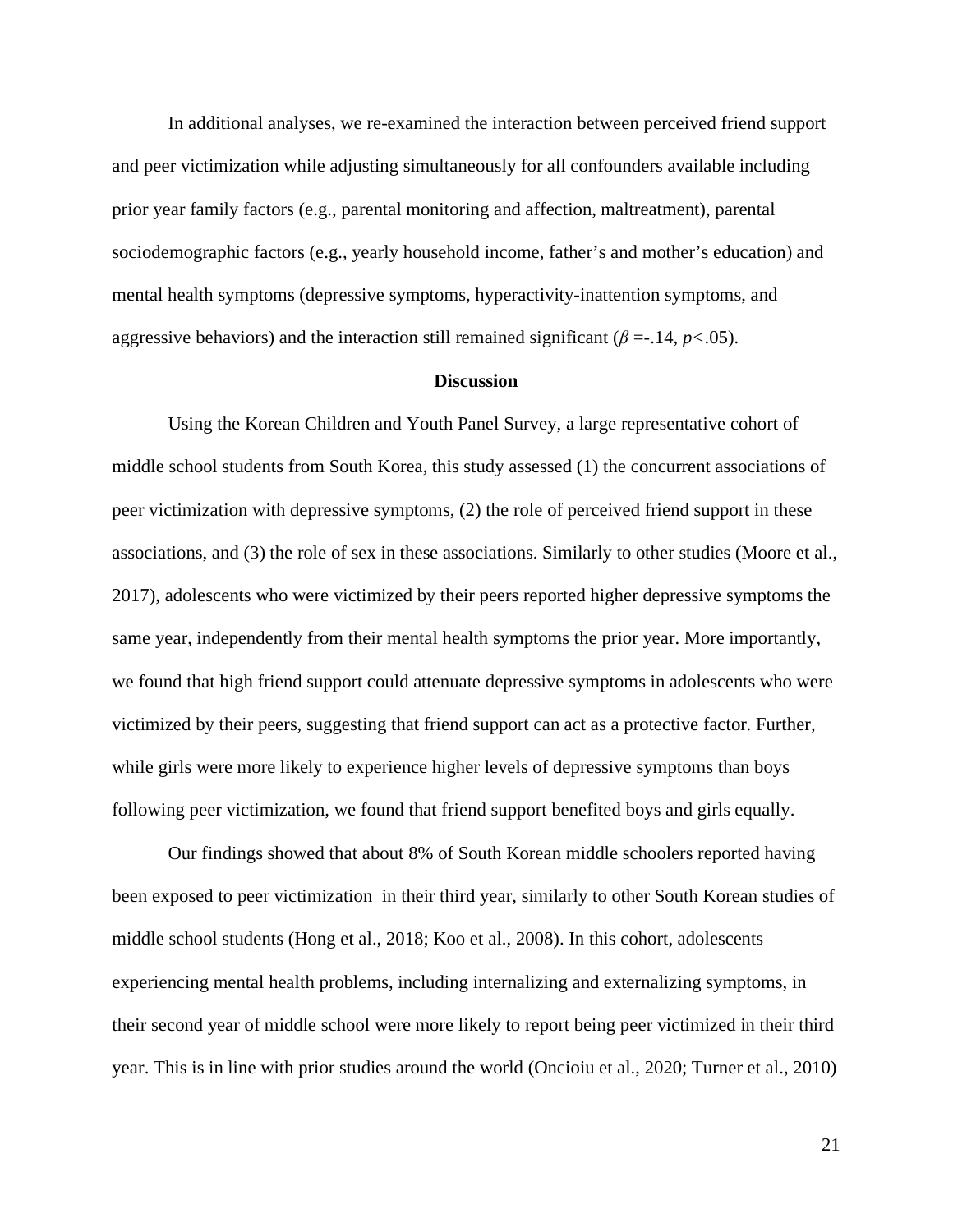In additional analyses, we re-examined the interaction between perceived friend support and peer victimization while adjusting simultaneously for all confounders available including prior year family factors (e.g., parental monitoring and affection, maltreatment), parental sociodemographic factors (e.g., yearly household income, father's and mother's education) and mental health symptoms (depressive symptoms, hyperactivity-inattention symptoms, and aggressive behaviors) and the interaction still remained significant ( $\beta = -14$ ,  $p < .05$ ).

#### **Discussion**

Using the Korean Children and Youth Panel Survey, a large representative cohort of middle school students from South Korea, this study assessed (1) the concurrent associations of peer victimization with depressive symptoms, (2) the role of perceived friend support in these associations, and (3) the role of sex in these associations. Similarly to other studies (Moore et al., 2017), adolescents who were victimized by their peers reported higher depressive symptoms the same year, independently from their mental health symptoms the prior year. More importantly, we found that high friend support could attenuate depressive symptoms in adolescents who were victimized by their peers, suggesting that friend support can act as a protective factor. Further, while girls were more likely to experience higher levels of depressive symptoms than boys following peer victimization, we found that friend support benefited boys and girls equally.

Our findings showed that about 8% of South Korean middle schoolers reported having been exposed to peer victimization in their third year, similarly to other South Korean studies of middle school students (Hong et al., 2018; Koo et al., 2008). In this cohort, adolescents experiencing mental health problems, including internalizing and externalizing symptoms, in their second year of middle school were more likely to report being peer victimized in their third year. This is in line with prior studies around the world (Oncioiu et al., 2020; Turner et al., 2010)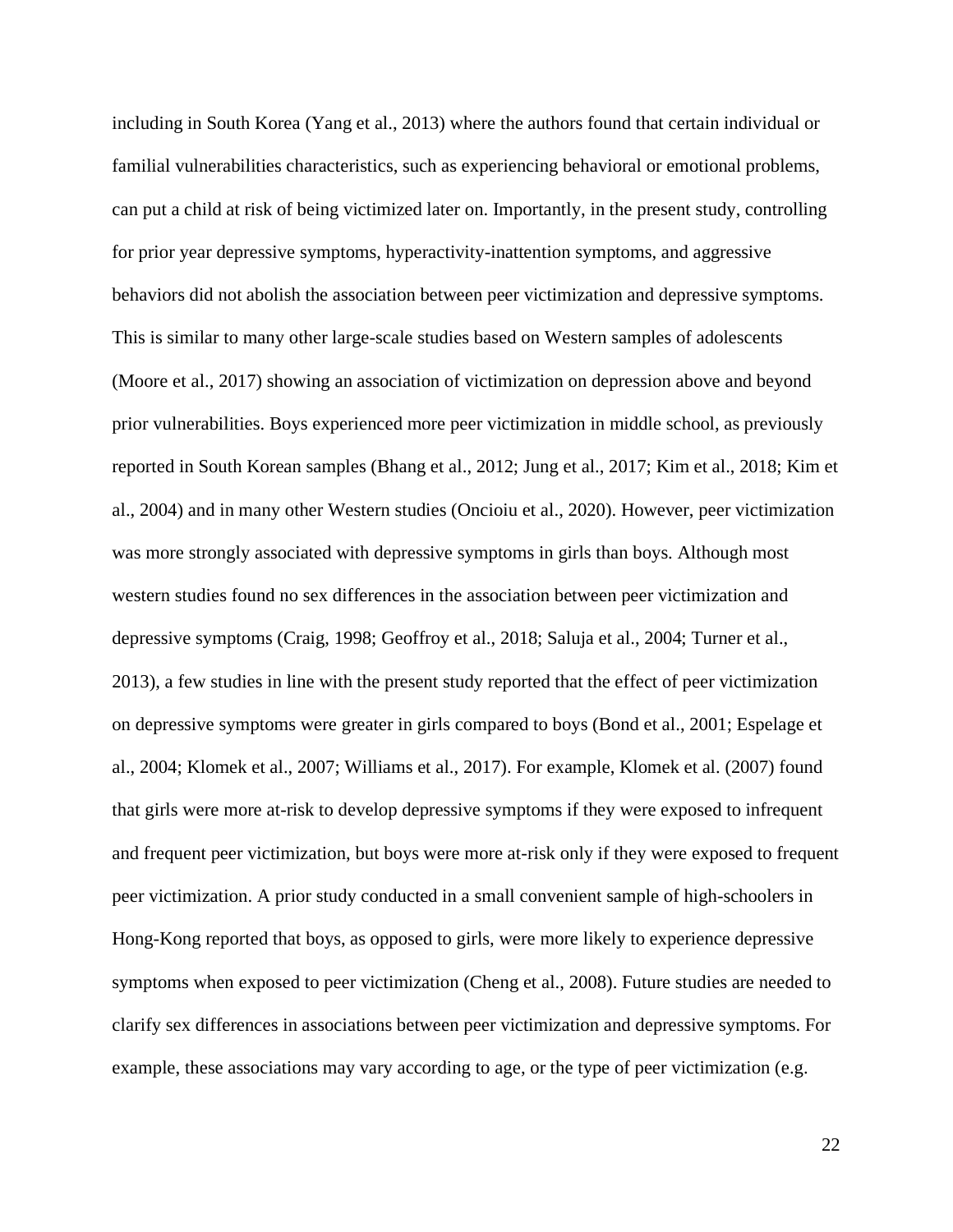including in South Korea (Yang et al., 2013) where the authors found that certain individual or familial vulnerabilities characteristics, such as experiencing behavioral or emotional problems, can put a child at risk of being victimized later on. Importantly, in the present study, controlling for prior year depressive symptoms, hyperactivity-inattention symptoms, and aggressive behaviors did not abolish the association between peer victimization and depressive symptoms. This is similar to many other large-scale studies based on Western samples of adolescents (Moore et al., 2017) showing an association of victimization on depression above and beyond prior vulnerabilities. Boys experienced more peer victimization in middle school, as previously reported in South Korean samples (Bhang et al., 2012; Jung et al., 2017; Kim et al., 2018; Kim et al., 2004) and in many other Western studies (Oncioiu et al., 2020). However, peer victimization was more strongly associated with depressive symptoms in girls than boys. Although most western studies found no sex differences in the association between peer victimization and depressive symptoms (Craig, 1998; Geoffroy et al., 2018; Saluja et al., 2004; Turner et al., 2013), a few studies in line with the present study reported that the effect of peer victimization on depressive symptoms were greater in girls compared to boys (Bond et al., 2001; Espelage et al., 2004; Klomek et al., 2007; Williams et al., 2017). For example, Klomek et al. (2007) found that girls were more at-risk to develop depressive symptoms if they were exposed to infrequent and frequent peer victimization, but boys were more at-risk only if they were exposed to frequent peer victimization. A prior study conducted in a small convenient sample of high-schoolers in Hong-Kong reported that boys, as opposed to girls, were more likely to experience depressive symptoms when exposed to peer victimization (Cheng et al., 2008). Future studies are needed to clarify sex differences in associations between peer victimization and depressive symptoms. For example, these associations may vary according to age, or the type of peer victimization (e.g.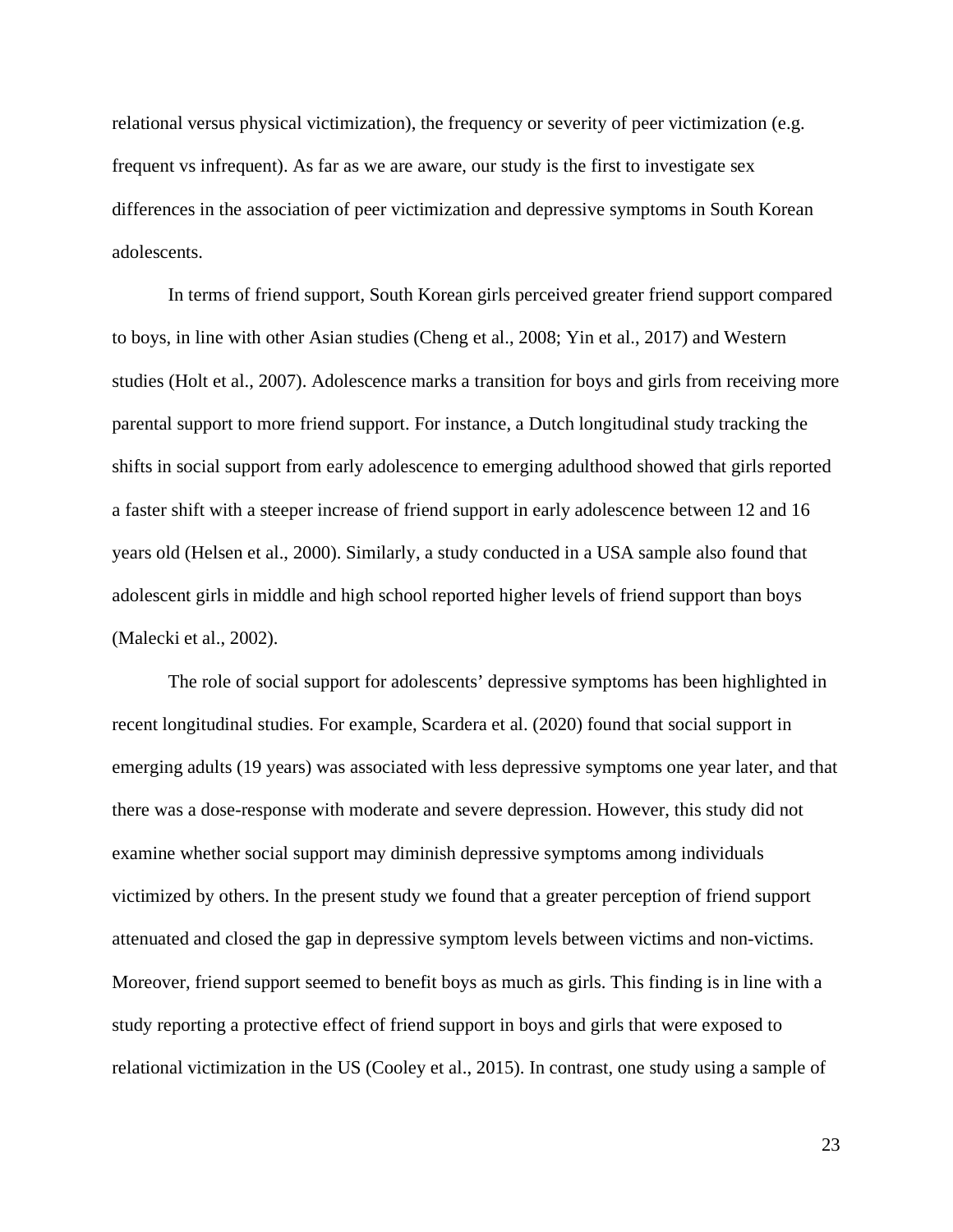relational versus physical victimization), the frequency or severity of peer victimization (e.g. frequent vs infrequent). As far as we are aware, our study is the first to investigate sex differences in the association of peer victimization and depressive symptoms in South Korean adolescents.

In terms of friend support, South Korean girls perceived greater friend support compared to boys, in line with other Asian studies (Cheng et al., 2008; Yin et al., 2017) and Western studies (Holt et al., 2007). Adolescence marks a transition for boys and girls from receiving more parental support to more friend support. For instance, a Dutch longitudinal study tracking the shifts in social support from early adolescence to emerging adulthood showed that girls reported a faster shift with a steeper increase of friend support in early adolescence between 12 and 16 years old (Helsen et al., 2000). Similarly, a study conducted in a USA sample also found that adolescent girls in middle and high school reported higher levels of friend support than boys (Malecki et al., 2002).

The role of social support for adolescents' depressive symptoms has been highlighted in recent longitudinal studies. For example, Scardera et al. (2020) found that social support in emerging adults (19 years) was associated with less depressive symptoms one year later, and that there was a dose-response with moderate and severe depression. However, this study did not examine whether social support may diminish depressive symptoms among individuals victimized by others. In the present study we found that a greater perception of friend support attenuated and closed the gap in depressive symptom levels between victims and non-victims. Moreover, friend support seemed to benefit boys as much as girls. This finding is in line with a study reporting a protective effect of friend support in boys and girls that were exposed to relational victimization in the US (Cooley et al., 2015). In contrast, one study using a sample of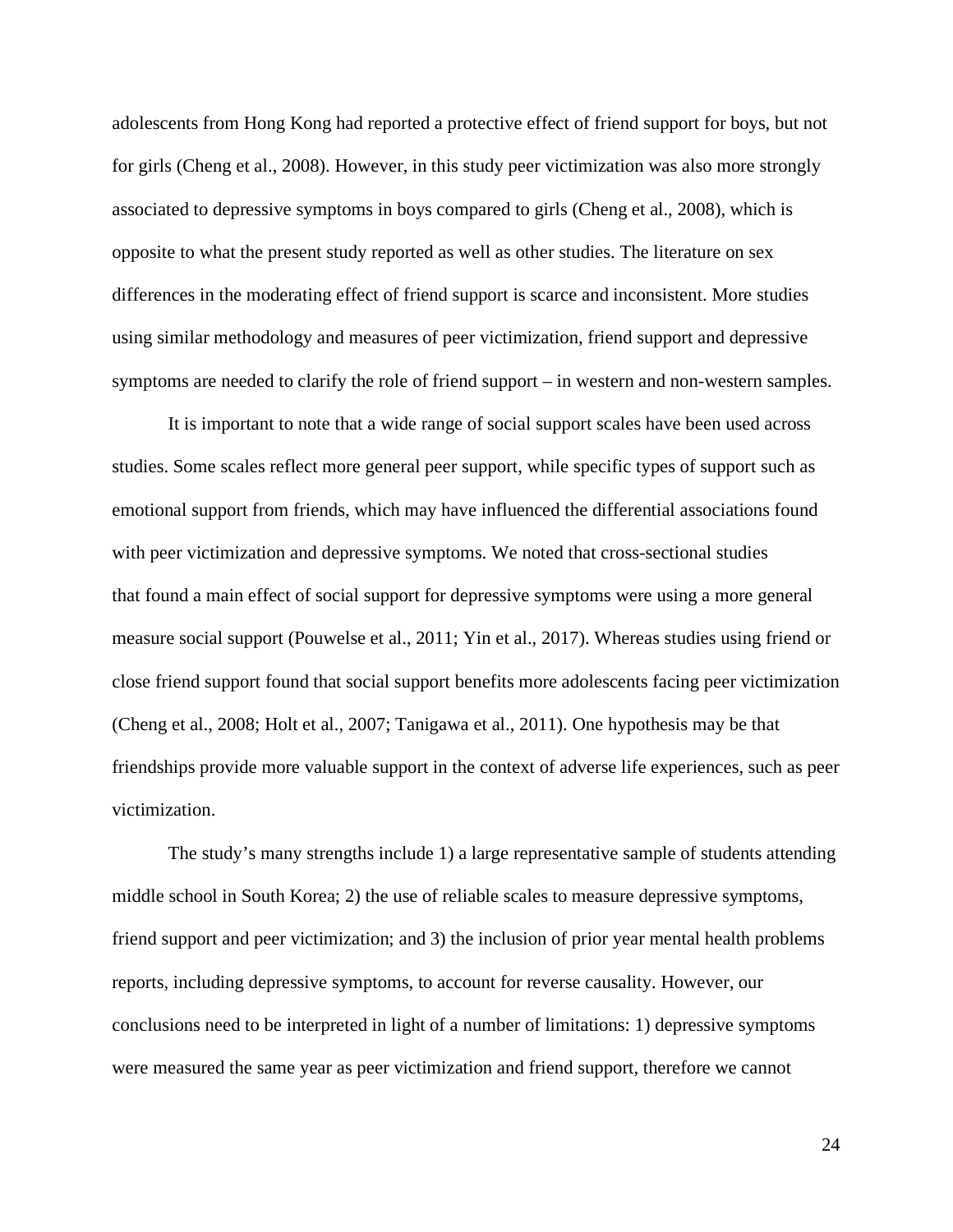adolescents from Hong Kong had reported a protective effect of friend support for boys, but not for girls (Cheng et al., 2008). However, in this study peer victimization was also more strongly associated to depressive symptoms in boys compared to girls (Cheng et al., 2008), which is opposite to what the present study reported as well as other studies. The literature on sex differences in the moderating effect of friend support is scarce and inconsistent. More studies using similar methodology and measures of peer victimization, friend support and depressive symptoms are needed to clarify the role of friend support – in western and non-western samples.

It is important to note that a wide range of social support scales have been used across studies. Some scales reflect more general peer support, while specific types of support such as emotional support from friends, which may have influenced the differential associations found with peer victimization and depressive symptoms. We noted that cross-sectional studies that found a main effect of social support for depressive symptoms were using a more general measure social support (Pouwelse et al., 2011; Yin et al., 2017). Whereas studies using friend or close friend support found that social support benefits more adolescents facing peer victimization (Cheng et al., 2008; Holt et al., 2007; Tanigawa et al., 2011). One hypothesis may be that friendships provide more valuable support in the context of adverse life experiences, such as peer victimization.

The study's many strengths include 1) a large representative sample of students attending middle school in South Korea; 2) the use of reliable scales to measure depressive symptoms, friend support and peer victimization; and 3) the inclusion of prior year mental health problems reports, including depressive symptoms, to account for reverse causality. However, our conclusions need to be interpreted in light of a number of limitations: 1) depressive symptoms were measured the same year as peer victimization and friend support, therefore we cannot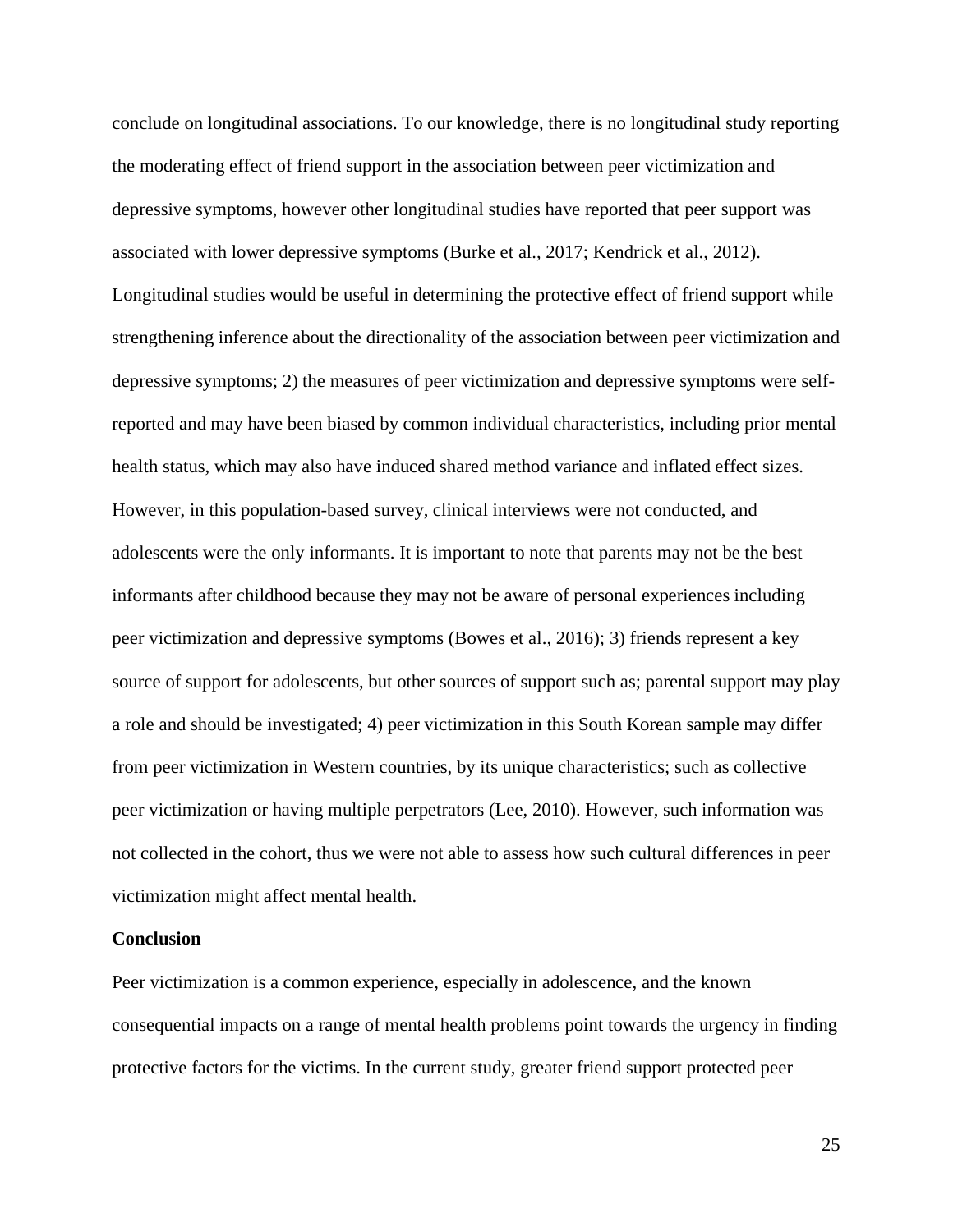conclude on longitudinal associations. To our knowledge, there is no longitudinal study reporting the moderating effect of friend support in the association between peer victimization and depressive symptoms, however other longitudinal studies have reported that peer support was associated with lower depressive symptoms (Burke et al., 2017; Kendrick et al., 2012). Longitudinal studies would be useful in determining the protective effect of friend support while strengthening inference about the directionality of the association between peer victimization and depressive symptoms; 2) the measures of peer victimization and depressive symptoms were selfreported and may have been biased by common individual characteristics, including prior mental health status, which may also have induced shared method variance and inflated effect sizes. However, in this population-based survey, clinical interviews were not conducted, and adolescents were the only informants. It is important to note that parents may not be the best informants after childhood because they may not be aware of personal experiences including peer victimization and depressive symptoms (Bowes et al., 2016); 3) friends represent a key source of support for adolescents, but other sources of support such as; parental support may play a role and should be investigated; 4) peer victimization in this South Korean sample may differ from peer victimization in Western countries, by its unique characteristics; such as collective peer victimization or having multiple perpetrators (Lee, 2010). However, such information was not collected in the cohort, thus we were not able to assess how such cultural differences in peer victimization might affect mental health.

### **Conclusion**

Peer victimization is a common experience, especially in adolescence, and the known consequential impacts on a range of mental health problems point towards the urgency in finding protective factors for the victims. In the current study, greater friend support protected peer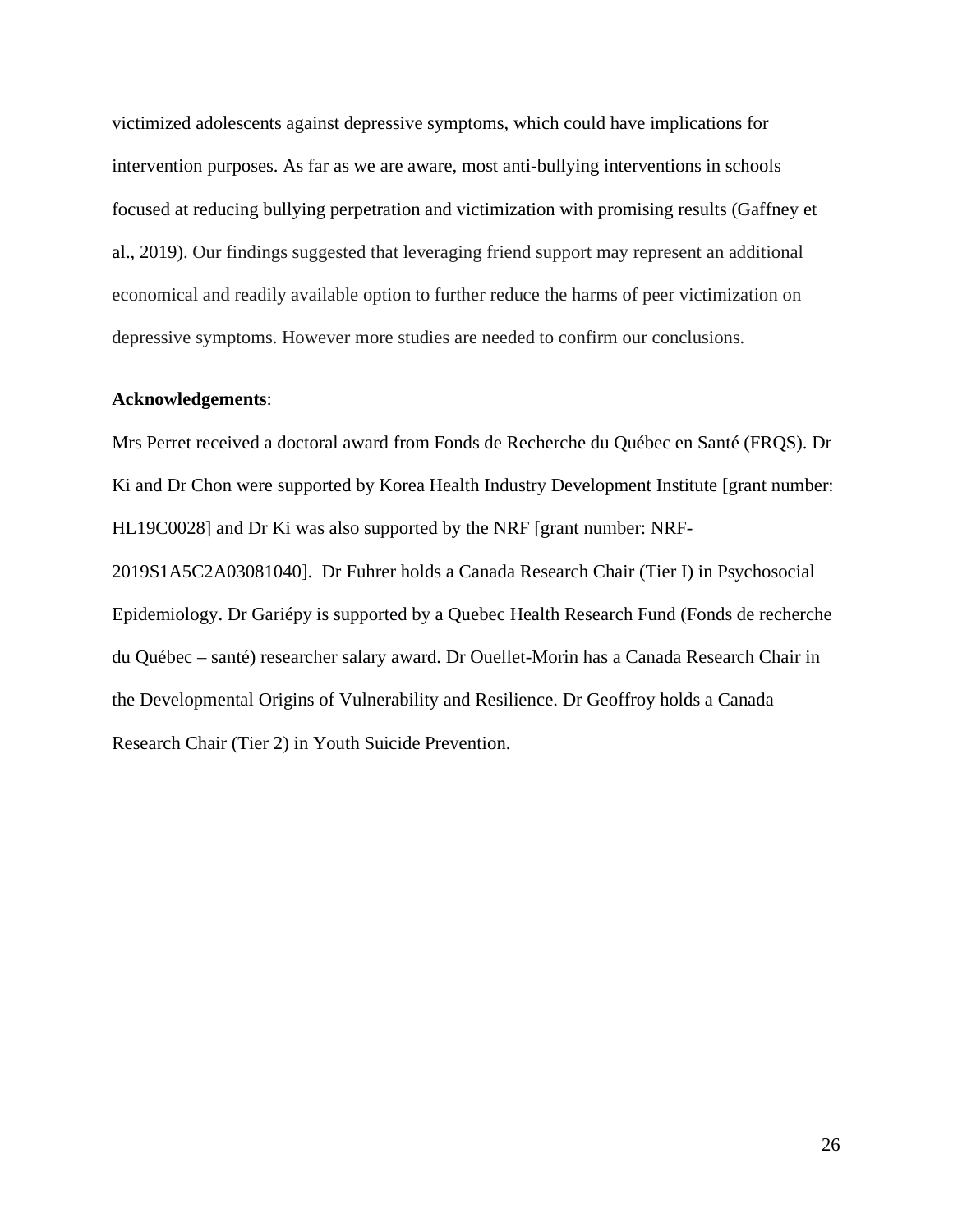victimized adolescents against depressive symptoms, which could have implications for intervention purposes. As far as we are aware, most anti-bullying interventions in schools focused at reducing bullying perpetration and victimization with promising results (Gaffney et al., 2019). Our findings suggested that leveraging friend support may represent an additional economical and readily available option to further reduce the harms of peer victimization on depressive symptoms. However more studies are needed to confirm our conclusions.

#### **Acknowledgements**:

Mrs Perret received a doctoral award from Fonds de Recherche du Québec en Santé (FRQS). Dr Ki and Dr Chon were supported by Korea Health Industry Development Institute [grant number: HL19C0028] and Dr Ki was also supported by the NRF [grant number: NRF-2019S1A5C2A03081040]. Dr Fuhrer holds a Canada Research Chair (Tier I) in Psychosocial Epidemiology. Dr Gariépy is supported by a Quebec Health Research Fund (Fonds de recherche du Québec – santé) researcher salary award. Dr Ouellet-Morin has a Canada Research Chair in the Developmental Origins of Vulnerability and Resilience. Dr Geoffroy holds a Canada Research Chair (Tier 2) in Youth Suicide Prevention.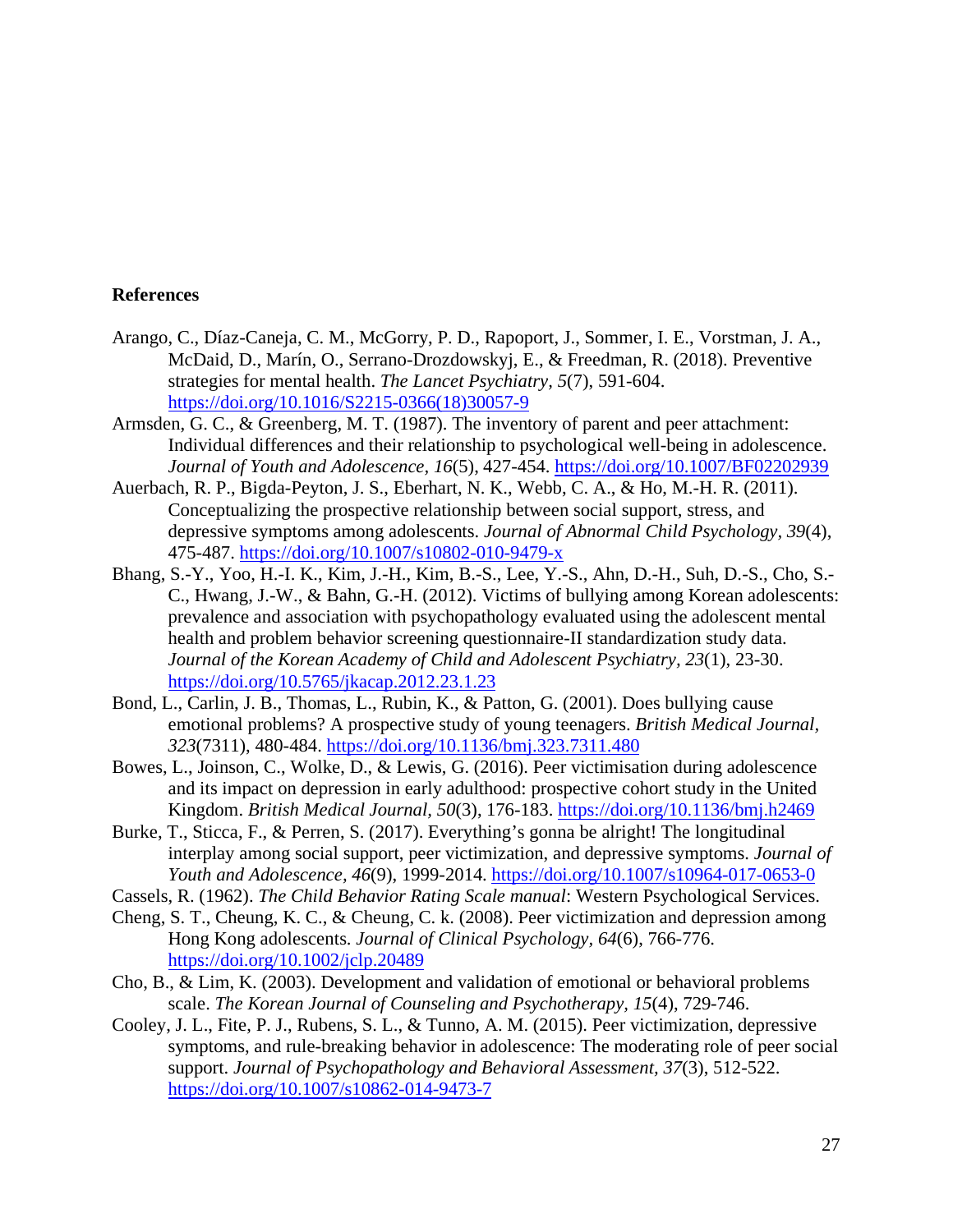## **References**

- Arango, C., Díaz-Caneja, C. M., McGorry, P. D., Rapoport, J., Sommer, I. E., Vorstman, J. A., McDaid, D., Marín, O., Serrano-Drozdowskyj, E., & Freedman, R. (2018). Preventive strategies for mental health. *The Lancet Psychiatry, 5*(7), 591-604. [https://doi.org/10.1016/S2215-0366\(18\)30057-9](https://doi.org/10.1016/S2215-0366(18)30057-9)
- Armsden, G. C., & Greenberg, M. T. (1987). The inventory of parent and peer attachment: Individual differences and their relationship to psychological well-being in adolescence. *Journal of Youth and Adolescence, 16*(5), 427-454.<https://doi.org/10.1007/BF02202939>
- Auerbach, R. P., Bigda-Peyton, J. S., Eberhart, N. K., Webb, C. A., & Ho, M.-H. R. (2011). Conceptualizing the prospective relationship between social support, stress, and depressive symptoms among adolescents. *Journal of Abnormal Child Psychology, 39*(4), 475-487.<https://doi.org/10.1007/s10802-010-9479-x>
- Bhang, S.-Y., Yoo, H.-I. K., Kim, J.-H., Kim, B.-S., Lee, Y.-S., Ahn, D.-H., Suh, D.-S., Cho, S.- C., Hwang, J.-W., & Bahn, G.-H. (2012). Victims of bullying among Korean adolescents: prevalence and association with psychopathology evaluated using the adolescent mental health and problem behavior screening questionnaire-II standardization study data. *Journal of the Korean Academy of Child and Adolescent Psychiatry, 23*(1), 23-30. <https://doi.org/10.5765/jkacap.2012.23.1.23>
- Bond, L., Carlin, J. B., Thomas, L., Rubin, K., & Patton, G. (2001). Does bullying cause emotional problems? A prospective study of young teenagers. *British Medical Journal, 323*(7311), 480-484.<https://doi.org/10.1136/bmj.323.7311.480>
- Bowes, L., Joinson, C., Wolke, D., & Lewis, G. (2016). Peer victimisation during adolescence and its impact on depression in early adulthood: prospective cohort study in the United Kingdom. *British Medical Journal, 50*(3), 176-183.<https://doi.org/10.1136/bmj.h2469>
- Burke, T., Sticca, F., & Perren, S. (2017). Everything's gonna be alright! The longitudinal interplay among social support, peer victimization, and depressive symptoms. *Journal of Youth and Adolescence, 46*(9), 1999-2014.<https://doi.org/10.1007/s10964-017-0653-0>
- Cassels, R. (1962). *The Child Behavior Rating Scale manual*: Western Psychological Services.
- Cheng, S. T., Cheung, K. C., & Cheung, C. k. (2008). Peer victimization and depression among Hong Kong adolescents. *Journal of Clinical Psychology, 64*(6), 766-776. <https://doi.org/10.1002/jclp.20489>
- Cho, B., & Lim, K. (2003). Development and validation of emotional or behavioral problems scale. *The Korean Journal of Counseling and Psychotherapy, 15*(4), 729-746.
- Cooley, J. L., Fite, P. J., Rubens, S. L., & Tunno, A. M. (2015). Peer victimization, depressive symptoms, and rule-breaking behavior in adolescence: The moderating role of peer social support. *Journal of Psychopathology and Behavioral Assessment, 37*(3), 512-522. <https://doi.org/10.1007/s10862-014-9473-7>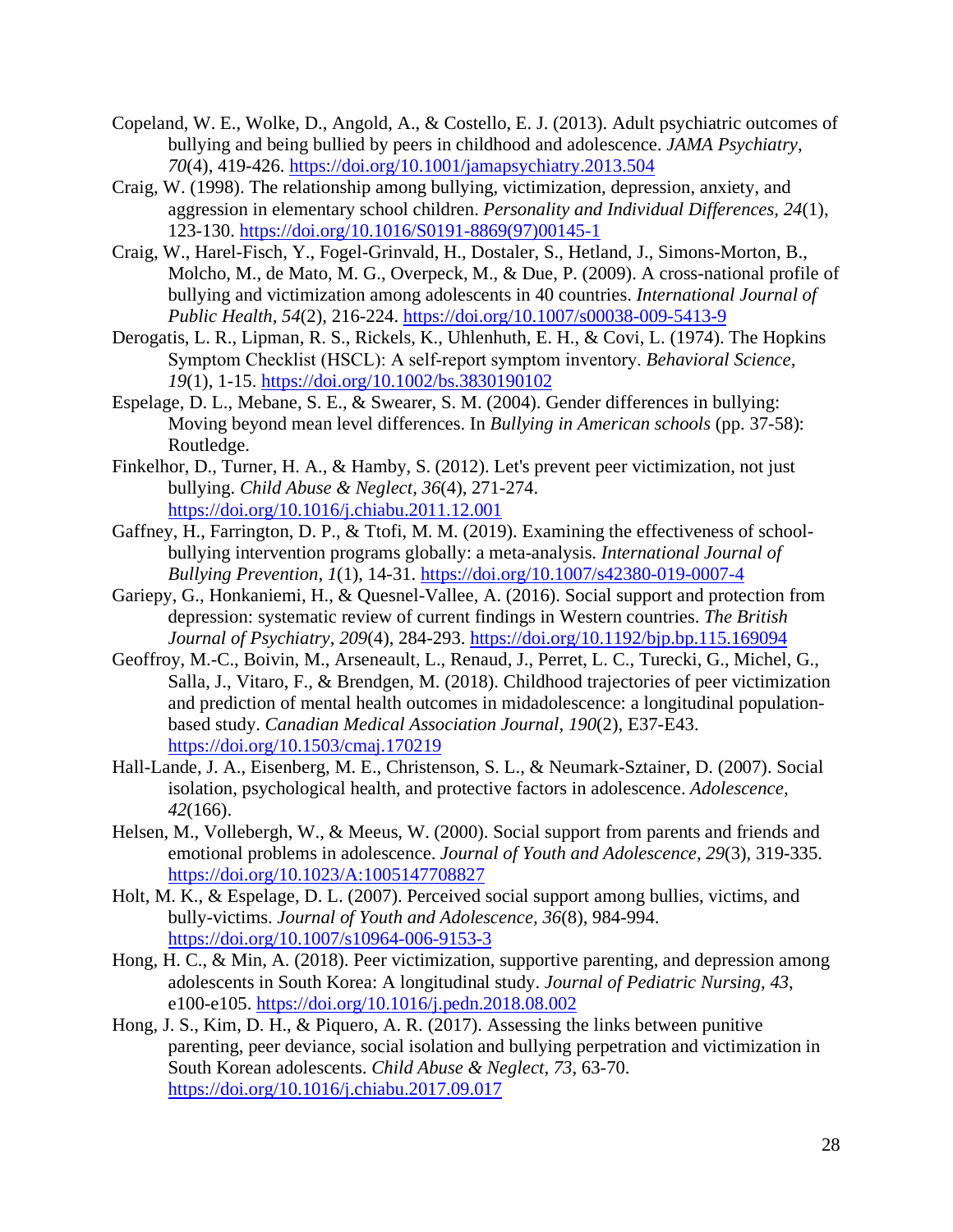- Copeland, W. E., Wolke, D., Angold, A., & Costello, E. J. (2013). Adult psychiatric outcomes of bullying and being bullied by peers in childhood and adolescence. *JAMA Psychiatry, 70*(4), 419-426.<https://doi.org/10.1001/jamapsychiatry.2013.504>
- Craig, W. (1998). The relationship among bullying, victimization, depression, anxiety, and aggression in elementary school children. *Personality and Individual Differences, 24*(1), 123-130. [https://doi.org/10.1016/S0191-8869\(97\)00145-1](https://doi.org/10.1016/S0191-8869(97)00145-1)
- Craig, W., Harel-Fisch, Y., Fogel-Grinvald, H., Dostaler, S., Hetland, J., Simons-Morton, B., Molcho, M., de Mato, M. G., Overpeck, M., & Due, P. (2009). A cross-national profile of bullying and victimization among adolescents in 40 countries. *International Journal of Public Health, 54*(2), 216-224.<https://doi.org/10.1007/s00038-009-5413-9>
- Derogatis, L. R., Lipman, R. S., Rickels, K., Uhlenhuth, E. H., & Covi, L. (1974). The Hopkins Symptom Checklist (HSCL): A self‐report symptom inventory. *Behavioral Science, 19*(1), 1-15.<https://doi.org/10.1002/bs.3830190102>
- Espelage, D. L., Mebane, S. E., & Swearer, S. M. (2004). Gender differences in bullying: Moving beyond mean level differences. In *Bullying in American schools* (pp. 37-58): Routledge.
- Finkelhor, D., Turner, H. A., & Hamby, S. (2012). Let's prevent peer victimization, not just bullying. *Child Abuse & Neglect, 36*(4), 271-274. <https://doi.org/10.1016/j.chiabu.2011.12.001>
- Gaffney, H., Farrington, D. P., & Ttofi, M. M. (2019). Examining the effectiveness of schoolbullying intervention programs globally: a meta-analysis. *International Journal of Bullying Prevention, 1*(1), 14-31.<https://doi.org/10.1007/s42380-019-0007-4>
- Gariepy, G., Honkaniemi, H., & Quesnel-Vallee, A. (2016). Social support and protection from depression: systematic review of current findings in Western countries. *The British Journal of Psychiatry, 209*(4), 284-293.<https://doi.org/10.1192/bjp.bp.115.169094>
- Geoffroy, M.-C., Boivin, M., Arseneault, L., Renaud, J., Perret, L. C., Turecki, G., Michel, G., Salla, J., Vitaro, F., & Brendgen, M. (2018). Childhood trajectories of peer victimization and prediction of mental health outcomes in midadolescence: a longitudinal populationbased study. *Canadian Medical Association Journal, 190*(2), E37-E43. <https://doi.org/10.1503/cmaj.170219>
- Hall-Lande, J. A., Eisenberg, M. E., Christenson, S. L., & Neumark-Sztainer, D. (2007). Social isolation, psychological health, and protective factors in adolescence. *Adolescence, 42*(166).
- Helsen, M., Vollebergh, W., & Meeus, W. (2000). Social support from parents and friends and emotional problems in adolescence. *Journal of Youth and Adolescence, 29*(3), 319-335. <https://doi.org/10.1023/A:1005147708827>
- Holt, M. K., & Espelage, D. L. (2007). Perceived social support among bullies, victims, and bully-victims. *Journal of Youth and Adolescence, 36*(8), 984-994. <https://doi.org/10.1007/s10964-006-9153-3>
- Hong, H. C., & Min, A. (2018). Peer victimization, supportive parenting, and depression among adolescents in South Korea: A longitudinal study. *Journal of Pediatric Nursing, 43*, e100-e105.<https://doi.org/10.1016/j.pedn.2018.08.002>
- Hong, J. S., Kim, D. H., & Piquero, A. R. (2017). Assessing the links between punitive parenting, peer deviance, social isolation and bullying perpetration and victimization in South Korean adolescents. *Child Abuse & Neglect, 73*, 63-70. <https://doi.org/10.1016/j.chiabu.2017.09.017>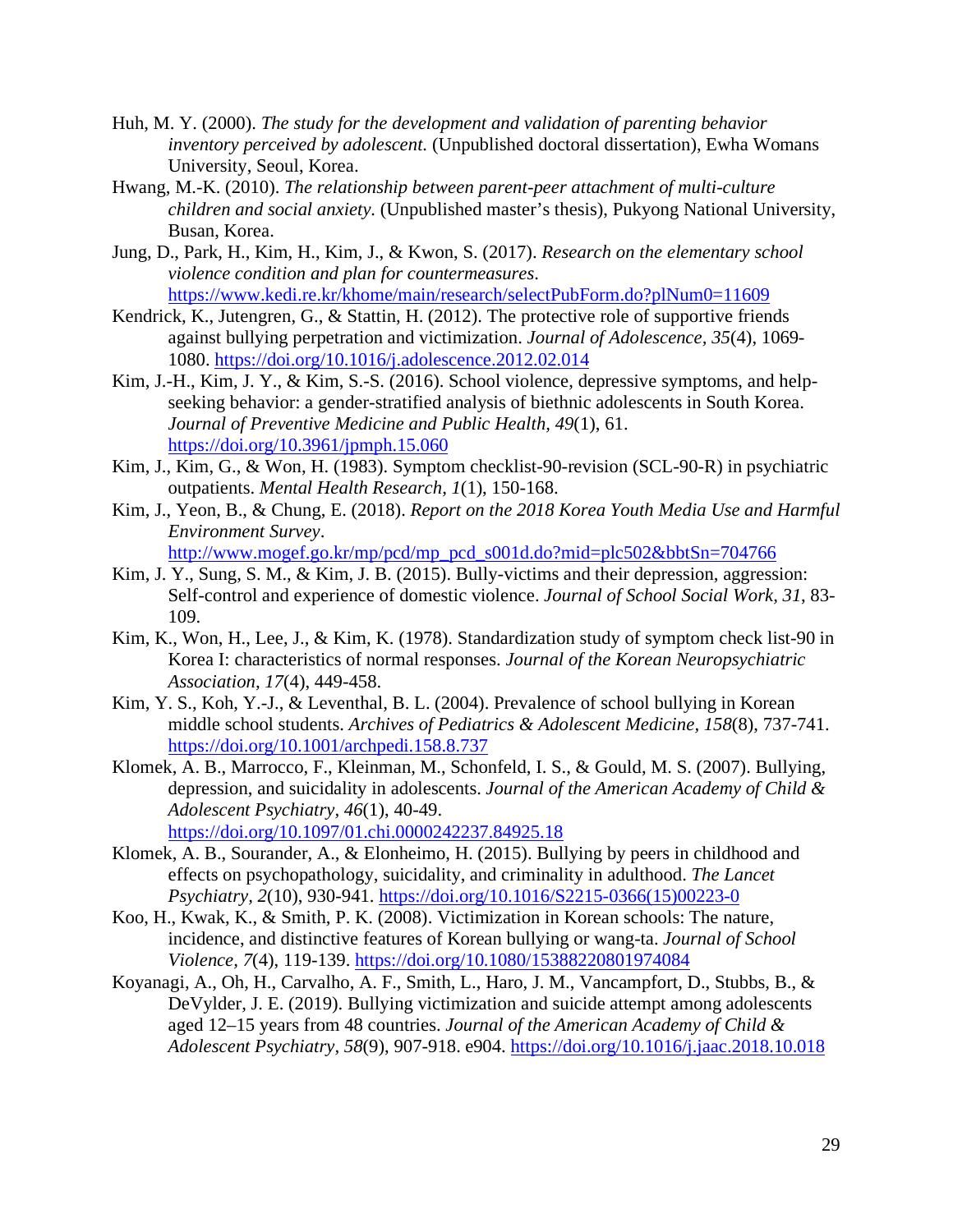- Huh, M. Y. (2000). *The study for the development and validation of parenting behavior inventory perceived by adolescent.* (Unpublished doctoral dissertation), Ewha Womans University, Seoul, Korea.
- Hwang, M.-K. (2010). *The relationship between parent-peer attachment of multi-culture children and social anxiety.* (Unpublished master's thesis), Pukyong National University, Busan, Korea.
- Jung, D., Park, H., Kim, H., Kim, J., & Kwon, S. (2017). *Research on the elementary school violence condition and plan for countermeasures*. <https://www.kedi.re.kr/khome/main/research/selectPubForm.do?plNum0=11609>
- Kendrick, K., Jutengren, G., & Stattin, H. (2012). The protective role of supportive friends against bullying perpetration and victimization. *Journal of Adolescence, 35*(4), 1069- 1080.<https://doi.org/10.1016/j.adolescence.2012.02.014>
- Kim, J.-H., Kim, J. Y., & Kim, S.-S. (2016). School violence, depressive symptoms, and helpseeking behavior: a gender-stratified analysis of biethnic adolescents in South Korea. *Journal of Preventive Medicine and Public Health, 49*(1), 61. <https://doi.org/10.3961/jpmph.15.060>
- Kim, J., Kim, G., & Won, H. (1983). Symptom checklist-90-revision (SCL-90-R) in psychiatric outpatients. *Mental Health Research, 1*(1), 150-168.
- Kim, J., Yeon, B., & Chung, E. (2018). *Report on the 2018 Korea Youth Media Use and Harmful Environment Survey*. [http://www.mogef.go.kr/mp/pcd/mp\\_pcd\\_s001d.do?mid=plc502&bbtSn=704766](http://www.mogef.go.kr/mp/pcd/mp_pcd_s001d.do?mid=plc502&bbtSn=704766)
- Kim, J. Y., Sung, S. M., & Kim, J. B. (2015). Bully-victims and their depression, aggression: Self-control and experience of domestic violence. *Journal of School Social Work, 31*, 83- 109.
- Kim, K., Won, H., Lee, J., & Kim, K. (1978). Standardization study of symptom check list-90 in Korea I: characteristics of normal responses. *Journal of the Korean Neuropsychiatric Association, 17*(4), 449-458.
- Kim, Y. S., Koh, Y.-J., & Leventhal, B. L. (2004). Prevalence of school bullying in Korean middle school students. *Archives of Pediatrics & Adolescent Medicine, 158*(8), 737-741. <https://doi.org/10.1001/archpedi.158.8.737>
- Klomek, A. B., Marrocco, F., Kleinman, M., Schonfeld, I. S., & Gould, M. S. (2007). Bullying, depression, and suicidality in adolescents. *Journal of the American Academy of Child & Adolescent Psychiatry, 46*(1), 40-49. <https://doi.org/10.1097/01.chi.0000242237.84925.18>
- Klomek, A. B., Sourander, A., & Elonheimo, H. (2015). Bullying by peers in childhood and effects on psychopathology, suicidality, and criminality in adulthood. *The Lancet Psychiatry, 2*(10), 930-941. [https://doi.org/10.1016/S2215-0366\(15\)00223-0](https://doi.org/10.1016/S2215-0366(15)00223-0)
- Koo, H., Kwak, K., & Smith, P. K. (2008). Victimization in Korean schools: The nature, incidence, and distinctive features of Korean bullying or wang-ta. *Journal of School Violence, 7*(4), 119-139.<https://doi.org/10.1080/15388220801974084>
- Koyanagi, A., Oh, H., Carvalho, A. F., Smith, L., Haro, J. M., Vancampfort, D., Stubbs, B., & DeVylder, J. E. (2019). Bullying victimization and suicide attempt among adolescents aged 12–15 years from 48 countries. *Journal of the American Academy of Child & Adolescent Psychiatry, 58*(9), 907-918. e904.<https://doi.org/10.1016/j.jaac.2018.10.018>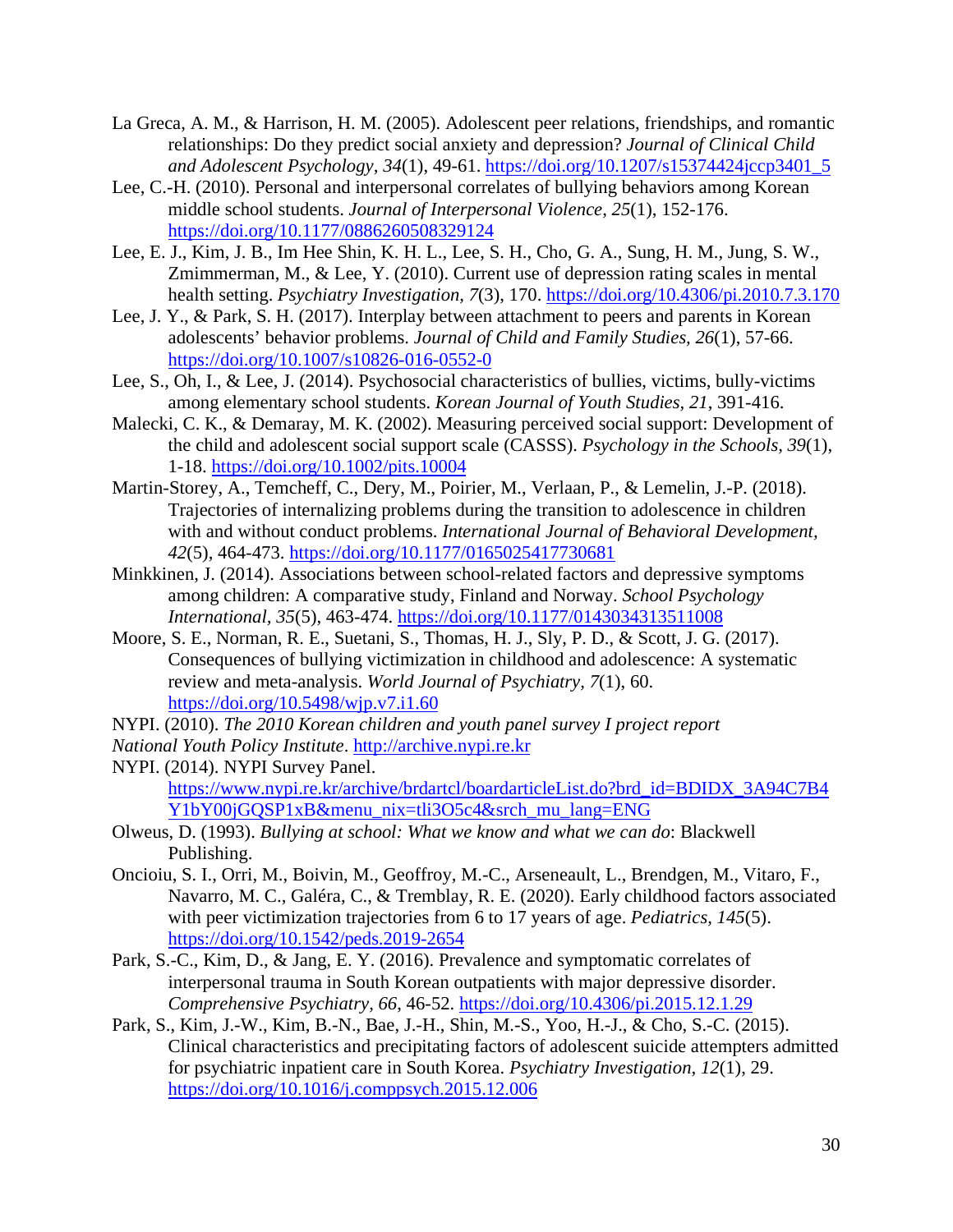- La Greca, A. M., & Harrison, H. M. (2005). Adolescent peer relations, friendships, and romantic relationships: Do they predict social anxiety and depression? *Journal of Clinical Child and Adolescent Psychology, 34*(1), 49-61. [https://doi.org/10.1207/s15374424jccp3401\\_5](https://doi.org/10.1207/s15374424jccp3401_5)
- Lee, C.-H. (2010). Personal and interpersonal correlates of bullying behaviors among Korean middle school students. *Journal of Interpersonal Violence, 25*(1), 152-176. <https://doi.org/10.1177/0886260508329124>
- Lee, E. J., Kim, J. B., Im Hee Shin, K. H. L., Lee, S. H., Cho, G. A., Sung, H. M., Jung, S. W., Zmimmerman, M., & Lee, Y. (2010). Current use of depression rating scales in mental health setting. *Psychiatry Investigation, 7*(3), 170.<https://doi.org/10.4306/pi.2010.7.3.170>
- Lee, J. Y., & Park, S. H. (2017). Interplay between attachment to peers and parents in Korean adolescents' behavior problems. *Journal of Child and Family Studies, 26*(1), 57-66. <https://doi.org/10.1007/s10826-016-0552-0>
- Lee, S., Oh, I., & Lee, J. (2014). Psychosocial characteristics of bullies, victims, bully-victims among elementary school students. *Korean Journal of Youth Studies, 21*, 391-416.
- Malecki, C. K., & Demaray, M. K. (2002). Measuring perceived social support: Development of the child and adolescent social support scale (CASSS). *Psychology in the Schools, 39*(1), 1-18.<https://doi.org/10.1002/pits.10004>
- Martin-Storey, A., Temcheff, C., Dery, M., Poirier, M., Verlaan, P., & Lemelin, J.-P. (2018). Trajectories of internalizing problems during the transition to adolescence in children with and without conduct problems. *International Journal of Behavioral Development, 42*(5), 464-473.<https://doi.org/10.1177/0165025417730681>
- Minkkinen, J. (2014). Associations between school-related factors and depressive symptoms among children: A comparative study, Finland and Norway. *School Psychology International, 35*(5), 463-474.<https://doi.org/10.1177/0143034313511008>
- Moore, S. E., Norman, R. E., Suetani, S., Thomas, H. J., Sly, P. D., & Scott, J. G. (2017). Consequences of bullying victimization in childhood and adolescence: A systematic review and meta-analysis. *World Journal of Psychiatry, 7*(1), 60. <https://doi.org/10.5498/wjp.v7.i1.60>
- NYPI. (2010). *The 2010 Korean children and youth panel survey I project report*
- *National Youth Policy Institute*. [http://archive.nypi.re.kr](http://archive.nypi.re.kr/)
- NYPI. (2014). NYPI Survey Panel. [https://www.nypi.re.kr/archive/brdartcl/boardarticleList.do?brd\\_id=BDIDX\\_3A94C7B4](https://www.nypi.re.kr/archive/brdartcl/boardarticleList.do?brd_id=BDIDX_3A94C7B4Y1bY00jGQSP1xB&menu_nix=tli3O5c4&srch_mu_lang=ENG) [Y1bY00jGQSP1xB&menu\\_nix=tli3O5c4&srch\\_mu\\_lang=ENG](https://www.nypi.re.kr/archive/brdartcl/boardarticleList.do?brd_id=BDIDX_3A94C7B4Y1bY00jGQSP1xB&menu_nix=tli3O5c4&srch_mu_lang=ENG)
- Olweus, D. (1993). *Bullying at school: What we know and what we can do*: Blackwell Publishing.
- Oncioiu, S. I., Orri, M., Boivin, M., Geoffroy, M.-C., Arseneault, L., Brendgen, M., Vitaro, F., Navarro, M. C., Galéra, C., & Tremblay, R. E. (2020). Early childhood factors associated with peer victimization trajectories from 6 to 17 years of age. *Pediatrics, 145*(5). <https://doi.org/10.1542/peds.2019-2654>
- Park, S.-C., Kim, D., & Jang, E. Y. (2016). Prevalence and symptomatic correlates of interpersonal trauma in South Korean outpatients with major depressive disorder. *Comprehensive Psychiatry, 66*, 46-52.<https://doi.org/10.4306/pi.2015.12.1.29>
- Park, S., Kim, J.-W., Kim, B.-N., Bae, J.-H., Shin, M.-S., Yoo, H.-J., & Cho, S.-C. (2015). Clinical characteristics and precipitating factors of adolescent suicide attempters admitted for psychiatric inpatient care in South Korea. *Psychiatry Investigation, 12*(1), 29. <https://doi.org/10.1016/j.comppsych.2015.12.006>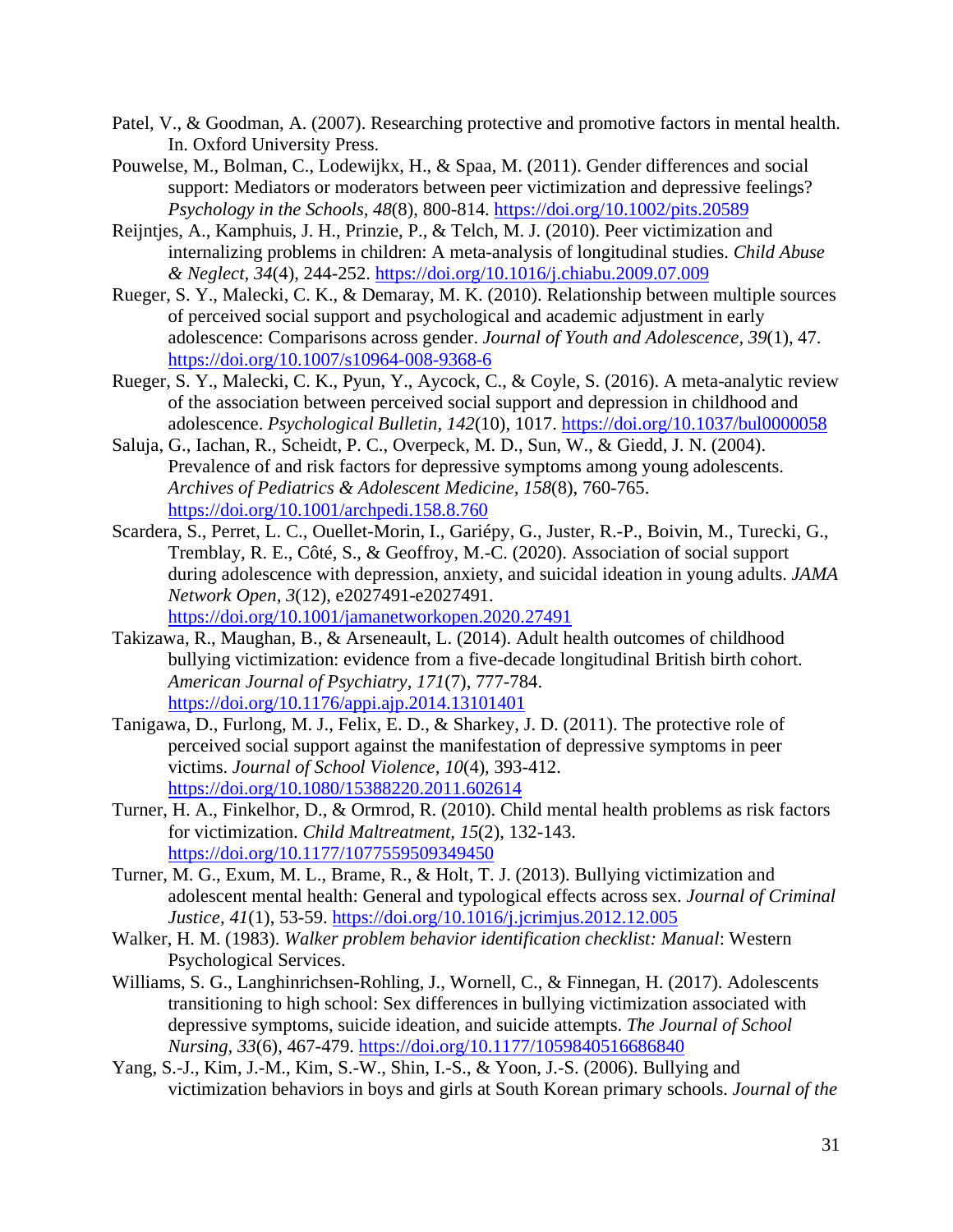- Patel, V., & Goodman, A. (2007). Researching protective and promotive factors in mental health. In. Oxford University Press.
- Pouwelse, M., Bolman, C., Lodewijkx, H., & Spaa, M. (2011). Gender differences and social support: Mediators or moderators between peer victimization and depressive feelings? *Psychology in the Schools, 48*(8), 800-814.<https://doi.org/10.1002/pits.20589>
- Reijntjes, A., Kamphuis, J. H., Prinzie, P., & Telch, M. J. (2010). Peer victimization and internalizing problems in children: A meta-analysis of longitudinal studies. *Child Abuse & Neglect, 34*(4), 244-252.<https://doi.org/10.1016/j.chiabu.2009.07.009>
- Rueger, S. Y., Malecki, C. K., & Demaray, M. K. (2010). Relationship between multiple sources of perceived social support and psychological and academic adjustment in early adolescence: Comparisons across gender. *Journal of Youth and Adolescence, 39*(1), 47. <https://doi.org/10.1007/s10964-008-9368-6>
- Rueger, S. Y., Malecki, C. K., Pyun, Y., Aycock, C., & Coyle, S. (2016). A meta-analytic review of the association between perceived social support and depression in childhood and adolescence. *Psychological Bulletin, 142*(10), 1017.<https://doi.org/10.1037/bul0000058>
- Saluja, G., Iachan, R., Scheidt, P. C., Overpeck, M. D., Sun, W., & Giedd, J. N. (2004). Prevalence of and risk factors for depressive symptoms among young adolescents. *Archives of Pediatrics & Adolescent Medicine, 158*(8), 760-765. <https://doi.org/10.1001/archpedi.158.8.760>
- Scardera, S., Perret, L. C., Ouellet-Morin, I., Gariépy, G., Juster, R.-P., Boivin, M., Turecki, G., Tremblay, R. E., Côté, S., & Geoffroy, M.-C. (2020). Association of social support during adolescence with depression, anxiety, and suicidal ideation in young adults. *JAMA Network Open, 3*(12), e2027491-e2027491. <https://doi.org/10.1001/jamanetworkopen.2020.27491>
- Takizawa, R., Maughan, B., & Arseneault, L. (2014). Adult health outcomes of childhood bullying victimization: evidence from a five-decade longitudinal British birth cohort. *American Journal of Psychiatry, 171*(7), 777-784. <https://doi.org/10.1176/appi.ajp.2014.13101401>
- Tanigawa, D., Furlong, M. J., Felix, E. D., & Sharkey, J. D. (2011). The protective role of perceived social support against the manifestation of depressive symptoms in peer victims. *Journal of School Violence, 10*(4), 393-412. <https://doi.org/10.1080/15388220.2011.602614>
- Turner, H. A., Finkelhor, D., & Ormrod, R. (2010). Child mental health problems as risk factors for victimization. *Child Maltreatment, 15*(2), 132-143. <https://doi.org/10.1177/1077559509349450>
- Turner, M. G., Exum, M. L., Brame, R., & Holt, T. J. (2013). Bullying victimization and adolescent mental health: General and typological effects across sex. *Journal of Criminal Justice, 41*(1), 53-59.<https://doi.org/10.1016/j.jcrimjus.2012.12.005>
- Walker, H. M. (1983). *Walker problem behavior identification checklist: Manual*: Western Psychological Services.
- Williams, S. G., Langhinrichsen-Rohling, J., Wornell, C., & Finnegan, H. (2017). Adolescents transitioning to high school: Sex differences in bullying victimization associated with depressive symptoms, suicide ideation, and suicide attempts. *The Journal of School Nursing, 33*(6), 467-479.<https://doi.org/10.1177/1059840516686840>
- Yang, S.-J., Kim, J.-M., Kim, S.-W., Shin, I.-S., & Yoon, J.-S. (2006). Bullying and victimization behaviors in boys and girls at South Korean primary schools. *Journal of the*